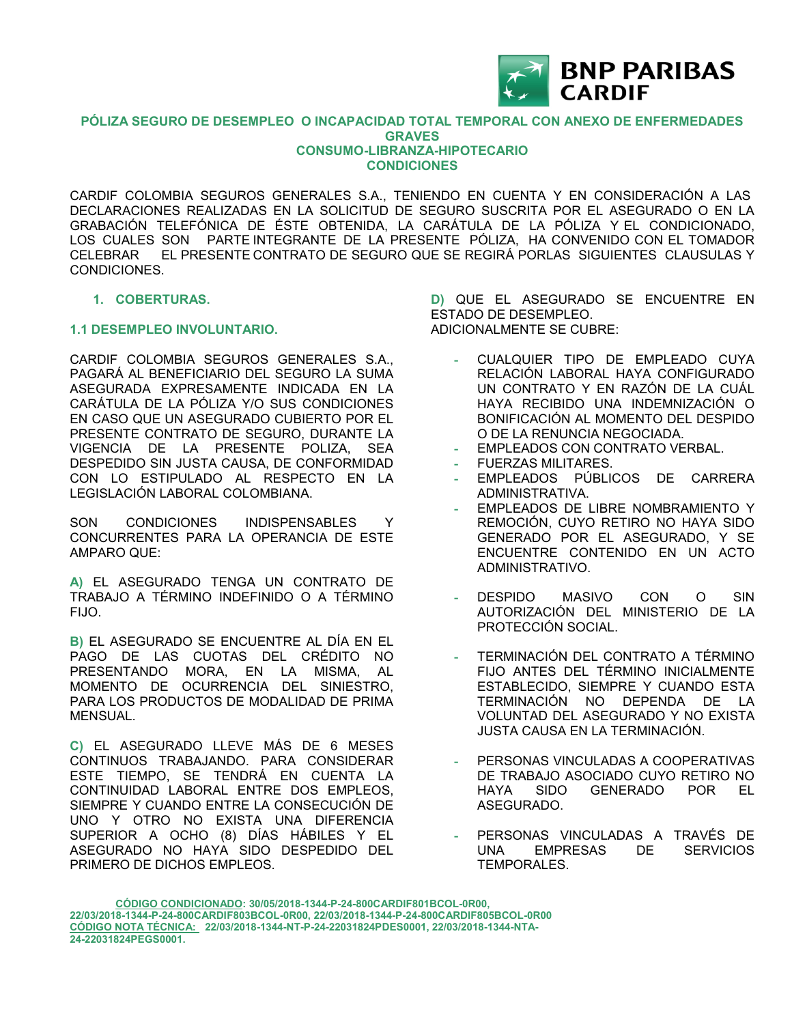

#### **PÓLIZA SEGURO DE DESEMPLEO O INCAPACIDAD TOTAL TEMPORAL CON ANEXO DE ENFERMEDADES GRAVES CONSUMO-LIBRANZA-HIPOTECARIO CONDICIONES**

CARDIF COLOMBIA SEGUROS GENERALES S.A., TENIENDO EN CUENTA Y EN CONSIDERACIÓN A LAS DECLARACIONES REALIZADAS EN LA SOLICITUD DE SEGURO SUSCRITA POR EL ASEGURADO O EN LA GRABACIÓN TELEFÓNICA DE ÉSTE OBTENIDA, LA CARÁTULA DE LA PÓLIZA Y EL CONDICIONADO, LOS CUALES SON PARTE INTEGRANTE DE LA PRESENTE PÓLIZA, HA CONVENIDO CON EL TOMADOR CELEBRAR EL PRESENTE CONTRATO DE SEGURO QUE SE REGIRÁ PORLAS SIGUIENTES CLAUSULAS Y CONDICIONES.

#### **1. COBERTURAS.**

#### **1.1 DESEMPLEO INVOLUNTARIO.**

CARDIF COLOMBIA SEGUROS GENERALES S.A., PAGARÁ AL BENEFICIARIO DEL SEGURO LA SUMA ASEGURADA EXPRESAMENTE INDICADA EN LA CARÁTULA DE LA PÓLIZA Y/O SUS CONDICIONES EN CASO QUE UN ASEGURADO CUBIERTO POR EL PRESENTE CONTRATO DE SEGURO, DURANTE LA VIGENCIA DE LA PRESENTE POLIZA, SEA DESPEDIDO SIN JUSTA CAUSA, DE CONFORMIDAD CON LO ESTIPULADO AL RESPECTO EN LA LEGISLACIÓN LABORAL COLOMBIANA.

SON CONDICIONES INDISPENSABLES Y CONCURRENTES PARA LA OPERANCIA DE ESTE AMPARO QUE:

**A)** EL ASEGURADO TENGA UN CONTRATO DE TRABAJO A TÉRMINO INDEFINIDO O A TÉRMINO FIJO.

**B)** EL ASEGURADO SE ENCUENTRE AL DÍA EN EL PAGO DE LAS CUOTAS DEL CRÉDITO NO PRESENTANDO MORA, EN LA MISMA, AL MOMENTO DE OCURRENCIA DEL SINIESTRO, PARA LOS PRODUCTOS DE MODALIDAD DE PRIMA MENSUAL.

**C)** EL ASEGURADO LLEVE MÁS DE 6 MESES CONTINUOS TRABAJANDO. PARA CONSIDERAR ESTE TIEMPO, SE TENDRÁ EN CUENTA LA CONTINUIDAD LABORAL ENTRE DOS EMPLEOS, SIEMPRE Y CUANDO ENTRE LA CONSECUCIÓN DE UNO Y OTRO NO EXISTA UNA DIFERENCIA SUPERIOR A OCHO (8) DÍAS HÁBILES Y EL ASEGURADO NO HAYA SIDO DESPEDIDO DEL PRIMERO DE DICHOS EMPLEOS.

**D)** QUE EL ASEGURADO SE ENCUENTRE EN ESTADO DE DESEMPLEO. ADICIONALMENTE SE CUBRE:

- **-** CUALQUIER TIPO DE EMPLEADO CUYA RELACIÓN LABORAL HAYA CONFIGURADO UN CONTRATO Y EN RAZÓN DE LA CUÁL HAYA RECIBIDO UNA INDEMNIZACIÓN O BONIFICACIÓN AL MOMENTO DEL DESPIDO O DE LA RENUNCIA NEGOCIADA.
- **-** EMPLEADOS CON CONTRATO VERBAL.
- **-** FUERZAS MILITARES.
- **-** EMPLEADOS PÚBLICOS DE CARRERA ADMINISTRATIVA.
- **-** EMPLEADOS DE LIBRE NOMBRAMIENTO Y REMOCIÓN, CUYO RETIRO NO HAYA SIDO GENERADO POR EL ASEGURADO, Y SE ENCUENTRE CONTENIDO EN UN ACTO ADMINISTRATIVO.
- **-** DESPIDO MASIVO CON O SIN AUTORIZACIÓN DEL MINISTERIO DE LA PROTECCIÓN SOCIAL.
- **-** TERMINACIÓN DEL CONTRATO A TÉRMINO FIJO ANTES DEL TÉRMINO INICIALMENTE ESTABLECIDO, SIEMPRE Y CUANDO ESTA TERMINACIÓN NO DEPENDA DE LA VOLUNTAD DEL ASEGURADO Y NO EXISTA JUSTA CAUSA EN LA TERMINACIÓN.
- **-** PERSONAS VINCULADAS A COOPERATIVAS DE TRABAJO ASOCIADO CUYO RETIRO NO HAYA SIDO GENERADO POR EL ASEGURADO.
- **-** PERSONAS VINCULADAS A TRAVÉS DE UNA EMPRESAS DE SERVICIOS TEMPORALES.

**CÓDIGO CONDICIONADO: 30/05/2018-1344-P-24-800CARDIF801BCOL-0R00, 22/03/2018-1344-P-24-800CARDIF803BCOL-0R00, 22/03/2018-1344-P-24-800CARDIF805BCOL-0R00 CÓDIGO NOTA TÉCNICA: 22/03/2018-1344-NT-P-24-22031824PDES0001, 22/03/2018-1344-NTA-24-22031824PEGS0001.**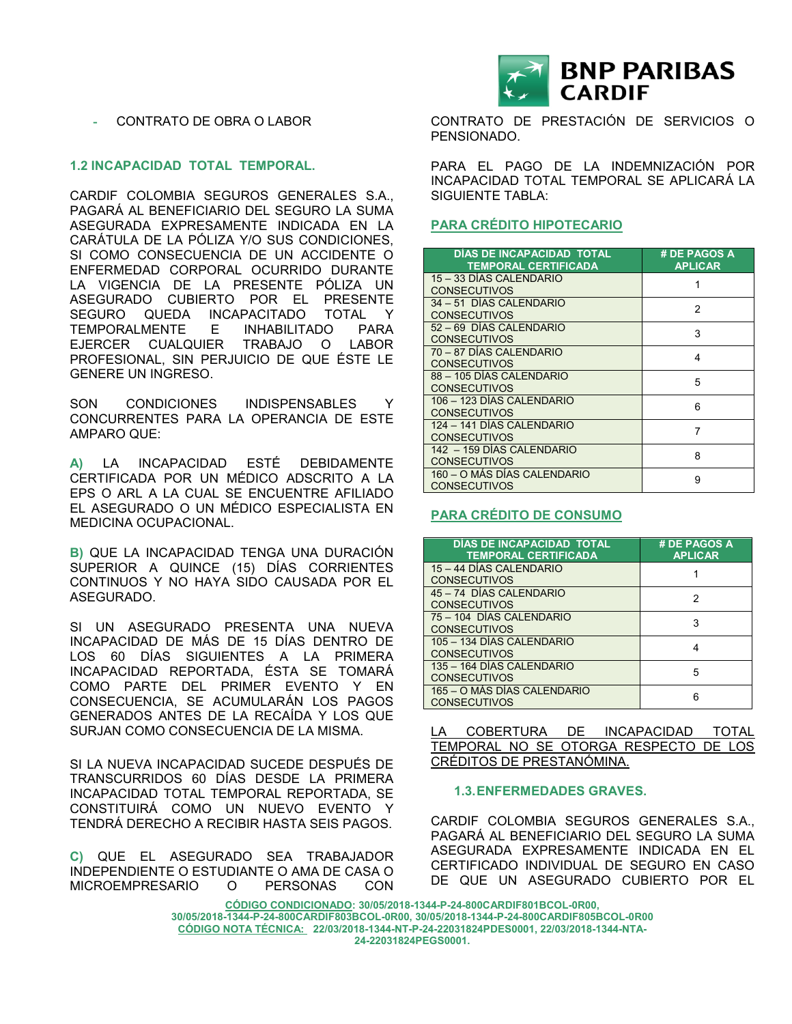

#### **1.2 INCAPACIDAD TOTAL TEMPORAL.**

CARDIF COLOMBIA SEGUROS GENERALES S.A., PAGARÁ AL BENEFICIARIO DEL SEGURO LA SUMA ASEGURADA EXPRESAMENTE INDICADA EN LA CARÁTULA DE LA PÓLIZA Y/O SUS CONDICIONES, SI COMO CONSECUENCIA DE UN ACCIDENTE O ENFERMEDAD CORPORAL OCURRIDO DURANTE LA VIGENCIA DE LA PRESENTE PÓLIZA UN ASEGURADO CUBIERTO POR EL PRESENTE SEGURO QUEDA INCAPACITADO TOTAL Y TEMPORALMENTE E INHABILITADO PARA EJERCER CUALQUIER TRABAJO O LABOR PROFESIONAL, SIN PERJUICIO DE QUE ÉSTE LE GENERE UN INGRESO.

SON CONDICIONES INDISPENSABLES Y CONCURRENTES PARA LA OPERANCIA DE ESTE AMPARO QUE:

**A)** LA INCAPACIDAD ESTÉ DEBIDAMENTE CERTIFICADA POR UN MÉDICO ADSCRITO A LA EPS O ARL A LA CUAL SE ENCUENTRE AFILIADO EL ASEGURADO O UN MÉDICO ESPECIALISTA EN MEDICINA OCUPACIONAL.

**B)** QUE LA INCAPACIDAD TENGA UNA DURACIÓN SUPERIOR A QUINCE (15) DÍAS CORRIENTES CONTINUOS Y NO HAYA SIDO CAUSADA POR EL ASEGURADO.

SI UN ASEGURADO PRESENTA UNA NUEVA INCAPACIDAD DE MÁS DE 15 DÍAS DENTRO DE LOS 60 DÍAS SIGUIENTES A LA PRIMERA INCAPACIDAD REPORTADA, ÉSTA SE TOMARÁ COMO PARTE DEL PRIMER EVENTO Y EN CONSECUENCIA, SE ACUMULARÁN LOS PAGOS GENERADOS ANTES DE LA RECAÍDA Y LOS QUE SURJAN COMO CONSECUENCIA DE LA MISMA.

SI LA NUEVA INCAPACIDAD SUCEDE DESPUÉS DE TRANSCURRIDOS 60 DÍAS DESDE LA PRIMERA INCAPACIDAD TOTAL TEMPORAL REPORTADA, SE CONSTITUIRÁ COMO UN NUEVO EVENTO Y TENDRÁ DERECHO A RECIBIR HASTA SEIS PAGOS.

**C)** QUE EL ASEGURADO SEA TRABAJADOR INDEPENDIENTE O ESTUDIANTE O AMA DE CASA O MICROEMPRESARIO O PERSONAS CON



CONTRATO DE PRESTACIÓN DE SERVICIOS O PENSIONADO.

PARA EL PAGO DE LA INDEMNIZACIÓN POR INCAPACIDAD TOTAL TEMPORAL SE APLICARÁ LA SIGUIENTE TABLA:

#### **PARA CRÉDITO HIPOTECARIO**

| DÍAS DE INCAPACIDAD TOTAL<br><b>TEMPORAL CERTIFICADA</b> | # DE PAGOS A<br><b>APLICAR</b> |  |  |
|----------------------------------------------------------|--------------------------------|--|--|
| 15 - 33 DÍAS CALENDARIO                                  |                                |  |  |
| <b>CONSECUTIVOS</b>                                      |                                |  |  |
| 34 - 51 DÍAS CALENDARIO                                  | 2                              |  |  |
| <b>CONSECUTIVOS</b>                                      |                                |  |  |
| 52 - 69 DÍAS CALENDARIO                                  | 3                              |  |  |
| <b>CONSECUTIVOS</b>                                      |                                |  |  |
| 70 - 87 DÍAS CALENDARIO                                  | 4                              |  |  |
| <b>CONSECUTIVOS</b>                                      |                                |  |  |
| 88 - 105 DÍAS CALENDARIO                                 | 5                              |  |  |
| <b>CONSECUTIVOS</b>                                      |                                |  |  |
| 106 - 123 DÍAS CALENDARIO                                | 6                              |  |  |
| <b>CONSECUTIVOS</b>                                      |                                |  |  |
| 124 - 141 DÍAS CALENDARIO                                | 7                              |  |  |
| <b>CONSECUTIVOS</b>                                      |                                |  |  |
| 142 - 159 DÍAS CALENDARIO                                | 8                              |  |  |
| <b>CONSECUTIVOS</b>                                      |                                |  |  |
| 160 – O MÁS DÍAS CALENDARIO                              |                                |  |  |
| <b>CONSECUTIVOS</b>                                      | 9                              |  |  |

#### **PARA CRÉDITO DE CONSUMO**

| DÍAS DE INCAPACIDAD TOTAL<br><b>TEMPORAL CERTIFICADA</b> | # DE PAGOS A<br><b>APLICAR</b> |
|----------------------------------------------------------|--------------------------------|
| 15 - 44 DÍAS CALENDARIO<br><b>CONSECUTIVOS</b>           |                                |
| 45 - 74 DÍAS CALENDARIO<br><b>CONSECUTIVOS</b>           | 2                              |
| 75 - 104 DÍAS CALENDARIO<br><b>CONSECUTIVOS</b>          | 3                              |
| 105 - 134 DÍAS CALENDARIO<br><b>CONSECUTIVOS</b>         |                                |
| 135 - 164 DÍAS CALENDARIO<br><b>CONSECUTIVOS</b>         | 5                              |
| 165 – O MÁS DÍAS CALENDARIO<br><b>CONSECUTIVOS</b>       | հ                              |

LA COBERTURA DE INCAPACIDAD TOTAL TEMPORAL NO SE OTORGA RESPECTO DE LOS CRÉDITOS DE PRESTANÓMINA.

#### **1.3.ENFERMEDADES GRAVES.**

CARDIF COLOMBIA SEGUROS GENERALES S.A., PAGARÁ AL BENEFICIARIO DEL SEGURO LA SUMA ASEGURADA EXPRESAMENTE INDICADA EN EL CERTIFICADO INDIVIDUAL DE SEGURO EN CASO DE QUE UN ASEGURADO CUBIERTO POR EL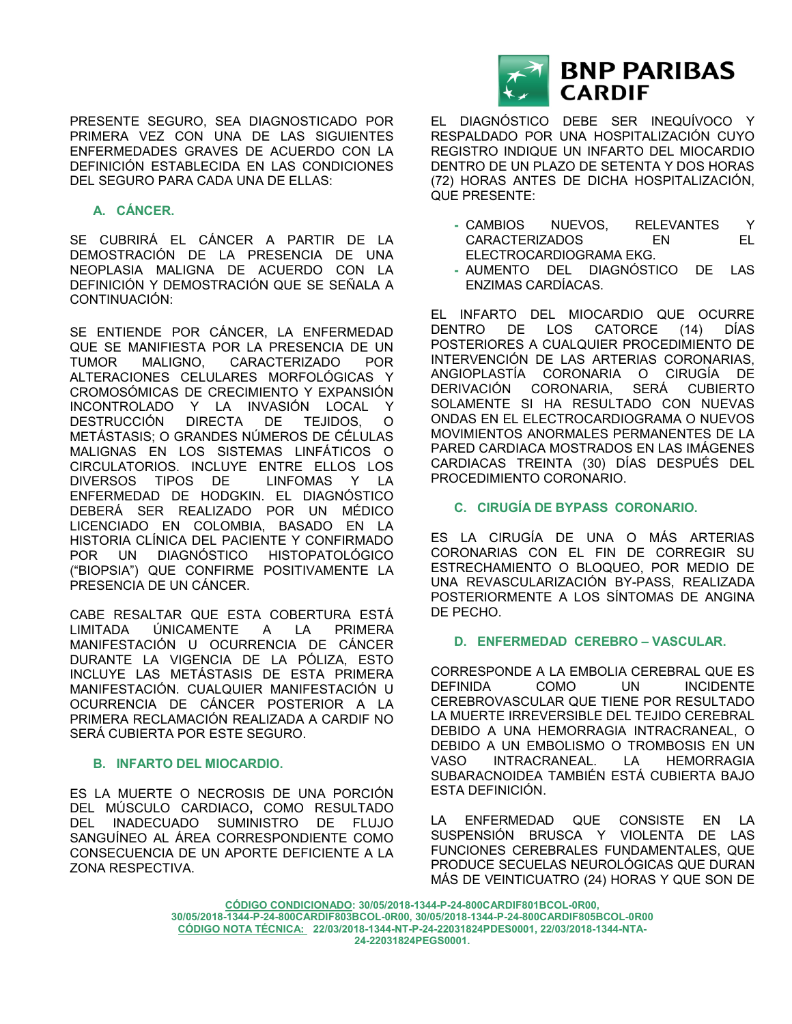

# **A. CÁNCER.**

SE CUBRIRÁ EL CÁNCER A PARTIR DE LA DEMOSTRACIÓN DE LA PRESENCIA DE UNA NEOPLASIA MALIGNA DE ACUERDO CON LA DEFINICIÓN Y DEMOSTRACIÓN QUE SE SEÑALA A CONTINUACIÓN:

SE ENTIENDE POR CÁNCER, LA ENFERMEDAD QUE SE MANIFIESTA POR LA PRESENCIA DE UN TUMOR MALIGNO, CARACTERIZADO POR ALTERACIONES CELULARES MORFOLÓGICAS Y CROMOSÓMICAS DE CRECIMIENTO Y EXPANSIÓN INCONTROLADO Y LA INVASIÓN LOCAL Y DESTRUCCIÓN DIRECTA DE TEJIDOS, O METÁSTASIS; O GRANDES NÚMEROS DE CÉLULAS MALIGNAS EN LOS SISTEMAS LINFÁTICOS O CIRCULATORIOS. INCLUYE ENTRE ELLOS LOS DIVERSOS TIPOS DE LINFOMAS Y LA ENFERMEDAD DE HODGKIN. EL DIAGNÓSTICO DEBERÁ SER REALIZADO POR UN MÉDICO LICENCIADO EN COLOMBIA, BASADO EN LA HISTORIA CLÍNICA DEL PACIENTE Y CONFIRMADO POR UN DIAGNÓSTICO HISTOPATOLÓGICO ("BIOPSIA") QUE CONFIRME POSITIVAMENTE LA PRESENCIA DE UN CÁNCER.

CABE RESALTAR QUE ESTA COBERTURA ESTÁ LIMITADA ÚNICAMENTE A LA PRIMERA MANIFESTACIÓN U OCURRENCIA DE CÁNCER DURANTE LA VIGENCIA DE LA PÓLIZA, ESTO INCLUYE LAS METÁSTASIS DE ESTA PRIMERA MANIFESTACIÓN. CUALQUIER MANIFESTACIÓN U OCURRENCIA DE CÁNCER POSTERIOR A LA PRIMERA RECLAMACIÓN REALIZADA A CARDIF NO SERÁ CUBIERTA POR ESTE SEGURO.

# **B. INFARTO DEL MIOCARDIO.**

ES LA MUERTE O NECROSIS DE UNA PORCIÓN DEL MÚSCULO CARDIACO**,** COMO RESULTADO DEL INADECUADO SUMINISTRO DE FLUJO SANGUÍNEO AL ÁREA CORRESPONDIENTE COMO CONSECUENCIA DE UN APORTE DEFICIENTE A LA ZONA RESPECTIVA.



EL DIAGNÓSTICO DEBE SER INEQUÍVOCO Y RESPALDADO POR UNA HOSPITALIZACIÓN CUYO REGISTRO INDIQUE UN INFARTO DEL MIOCARDIO DENTRO DE UN PLAZO DE SETENTA Y DOS HORAS (72) HORAS ANTES DE DICHA HOSPITALIZACIÓN, QUE PRESENTE:

- **-** CAMBIOS NUEVOS, RELEVANTES Y CARACTERIZADOS EN EL ELECTROCARDIOGRAMA EKG.
- **-** AUMENTO DEL DIAGNÓSTICO DE LAS ENZIMAS CARDÍACAS.

EL INFARTO DEL MIOCARDIO QUE OCURRE DENTRO DE LOS CATORCE (14) DÍAS POSTERIORES A CUALQUIER PROCEDIMIENTO DE INTERVENCIÓN DE LAS ARTERIAS CORONARIAS, ANGIOPLASTÍA CORONARIA O CIRUGÍA DE DERIVACIÓN CORONARIA, SERÁ CUBIERTO SOLAMENTE SI HA RESULTADO CON NUEVAS ONDAS EN EL ELECTROCARDIOGRAMA O NUEVOS MOVIMIENTOS ANORMALES PERMANENTES DE LA PARED CARDIACA MOSTRADOS EN LAS IMÁGENES CARDIACAS TREINTA (30) DÍAS DESPUÉS DEL PROCEDIMIENTO CORONARIO.

### **C. CIRUGÍA DE BYPASS CORONARIO.**

ES LA CIRUGÍA DE UNA O MÁS ARTERIAS CORONARIAS CON EL FIN DE CORREGIR SU ESTRECHAMIENTO O BLOQUEO, POR MEDIO DE UNA REVASCULARIZACIÓN BY-PASS, REALIZADA POSTERIORMENTE A LOS SÍNTOMAS DE ANGINA DE PECHO.

# **D. ENFERMEDAD CEREBRO – VASCULAR.**

CORRESPONDE A LA EMBOLIA CEREBRAL QUE ES DEFINIDA COMO UN INCIDENTE CEREBROVASCULAR QUE TIENE POR RESULTADO LA MUERTE IRREVERSIBLE DEL TEJIDO CEREBRAL DEBIDO A UNA HEMORRAGIA INTRACRANEAL, O DEBIDO A UN EMBOLISMO O TROMBOSIS EN UN VASO INTRACRANEAL. LA HEMORRAGIA SUBARACNOIDEA TAMBIÉN ESTÁ CUBIERTA BAJO ESTA DEFINICIÓN.

LA ENFERMEDAD QUE CONSISTE EN LA SUSPENSIÓN BRUSCA Y VIOLENTA DE LAS FUNCIONES CEREBRALES FUNDAMENTALES, QUE PRODUCE SECUELAS NEUROLÓGICAS QUE DURAN MÁS DE VEINTICUATRO (24) HORAS Y QUE SON DE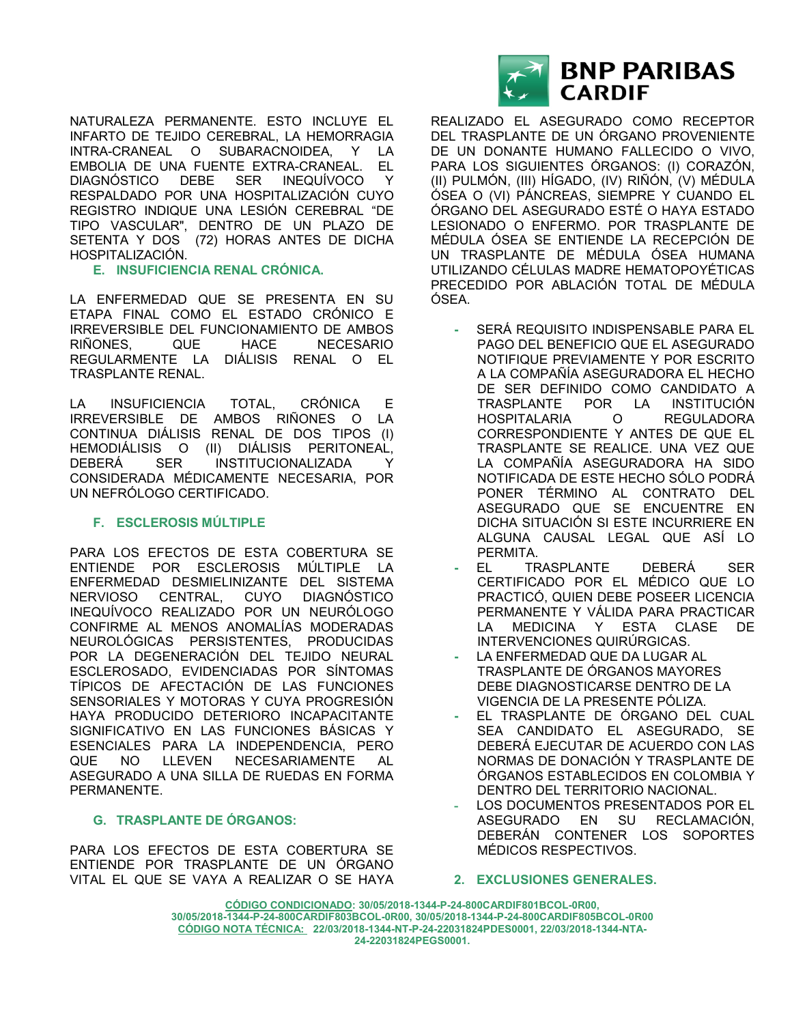NATURALEZA PERMANENTE. ESTO INCLUYE EL INFARTO DE TEJIDO CEREBRAL, LA HEMORRAGIA INTRA-CRANEAL O SUBARACNOIDEA, Y LA EMBOLIA DE UNA FUENTE EXTRA-CRANEAL. EL DIAGNÓSTICO DEBE SER INEQUÍVOCO Y RESPALDADO POR UNA HOSPITALIZACIÓN CUYO REGISTRO INDIQUE UNA LESIÓN CEREBRAL "DE TIPO VASCULAR", DENTRO DE UN PLAZO DE SETENTA Y DOS (72) HORAS ANTES DE DICHA HOSPITALIZACIÓN.

# **E. INSUFICIENCIA RENAL CRÓNICA.**

LA ENFERMEDAD QUE SE PRESENTA EN SU ETAPA FINAL COMO EL ESTADO CRÓNICO E IRREVERSIBLE DEL FUNCIONAMIENTO DE AMBOS RIÑONES, QUE HACE NECESARIO REGULARMENTE LA DIÁLISIS RENAL O EL TRASPLANTE RENAL.

LA INSUFICIENCIA TOTAL, CRÓNICA E IRREVERSIBLE DE AMBOS RIÑONES O LA CONTINUA DIÁLISIS RENAL DE DOS TIPOS (I) HEMODIÁLISIS O (II) DIÁLISIS PERITONEAL, DEBERÁ SER INSTITUCIONALIZADA Y CONSIDERADA MÉDICAMENTE NECESARIA, POR UN NEFRÓLOGO CERTIFICADO.

# **F. ESCLEROSIS MÚLTIPLE**

PARA LOS EFECTOS DE ESTA COBERTURA SE ENTIENDE POR ESCLEROSIS MÚLTIPLE LA ENFERMEDAD DESMIELINIZANTE DEL SISTEMA NERVIOSO CENTRAL, CUYO DIAGNÓSTICO INEQUÍVOCO REALIZADO POR UN NEURÓLOGO CONFIRME AL MENOS ANOMALÍAS MODERADAS NEUROLÓGICAS PERSISTENTES, PRODUCIDAS POR LA DEGENERACIÓN DEL TEJIDO NEURAL ESCLEROSADO, EVIDENCIADAS POR SÍNTOMAS TÍPICOS DE AFECTACIÓN DE LAS FUNCIONES SENSORIALES Y MOTORAS Y CUYA PROGRESIÓN HAYA PRODUCIDO DETERIORO INCAPACITANTE SIGNIFICATIVO EN LAS FUNCIONES BÁSICAS Y ESENCIALES PARA LA INDEPENDENCIA, PERO QUE NO LLEVEN NECESARIAMENTE AL ASEGURADO A UNA SILLA DE RUEDAS EN FORMA PERMANENTE.

# **G. TRASPLANTE DE ÓRGANOS:**

PARA LOS EFECTOS DE ESTA COBERTURA SE ENTIENDE POR TRASPLANTE DE UN ÓRGANO VITAL EL QUE SE VAYA A REALIZAR O SE HAYA



REALIZADO EL ASEGURADO COMO RECEPTOR DEL TRASPLANTE DE UN ÓRGANO PROVENIENTE DE UN DONANTE HUMANO FALLECIDO O VIVO, PARA LOS SIGUIENTES ÓRGANOS: (I) CORAZÓN, (II) PULMÓN, (III) HÍGADO, (IV) RIÑÓN, (V) MÉDULA ÓSEA O (VI) PÁNCREAS, SIEMPRE Y CUANDO EL ÓRGANO DEL ASEGURADO ESTÉ O HAYA ESTADO LESIONADO O ENFERMO. POR TRASPLANTE DE MÉDULA ÓSEA SE ENTIENDE LA RECEPCIÓN DE UN TRASPLANTE DE MÉDULA ÓSEA HUMANA UTILIZANDO CÉLULAS MADRE HEMATOPOYÉTICAS PRECEDIDO POR ABLACIÓN TOTAL DE MÉDULA ÓSEA.

- **-** SERÁ REQUISITO INDISPENSABLE PARA EL PAGO DEL BENEFICIO QUE EL ASEGURADO NOTIFIQUE PREVIAMENTE Y POR ESCRITO A LA COMPAÑÍA ASEGURADORA EL HECHO DE SER DEFINIDO COMO CANDIDATO A TRASPLANTE POR LA INSTITUCIÓN HOSPITALARIA O REGULADORA CORRESPONDIENTE Y ANTES DE QUE EL TRASPLANTE SE REALICE. UNA VEZ QUE LA COMPAÑÍA ASEGURADORA HA SIDO NOTIFICADA DE ESTE HECHO SÓLO PODRÁ PONER TÉRMINO AL CONTRATO DEL ASEGURADO QUE SE ENCUENTRE EN DICHA SITUACIÓN SI ESTE INCURRIERE EN ALGUNA CAUSAL LEGAL QUE ASÍ LO PERMITA.
- **-** EL TRASPLANTE DEBERÁ SER CERTIFICADO POR EL MÉDICO QUE LO PRACTICÓ, QUIEN DEBE POSEER LICENCIA PERMANENTE Y VÁLIDA PARA PRACTICAR LA MEDICINA Y ESTA CLASE DE INTERVENCIONES QUIRÚRGICAS.
- **-** LA ENFERMEDAD QUE DA LUGAR AL TRASPLANTE DE ÓRGANOS MAYORES DEBE DIAGNOSTICARSE DENTRO DE LA VIGENCIA DE LA PRESENTE PÓLIZA.
- **-** EL TRASPLANTE DE ÓRGANO DEL CUAL SEA CANDIDATO EL ASEGURADO, SE DEBERÁ EJECUTAR DE ACUERDO CON LAS NORMAS DE DONACIÓN Y TRASPLANTE DE ÓRGANOS ESTABLECIDOS EN COLOMBIA Y DENTRO DEL TERRITORIO NACIONAL.
- **-** LOS DOCUMENTOS PRESENTADOS POR EL ASEGURADO EN SU RECLAMACIÓN, DEBERÁN CONTENER LOS SOPORTES MÉDICOS RESPECTIVOS.
- **2. EXCLUSIONES GENERALES.**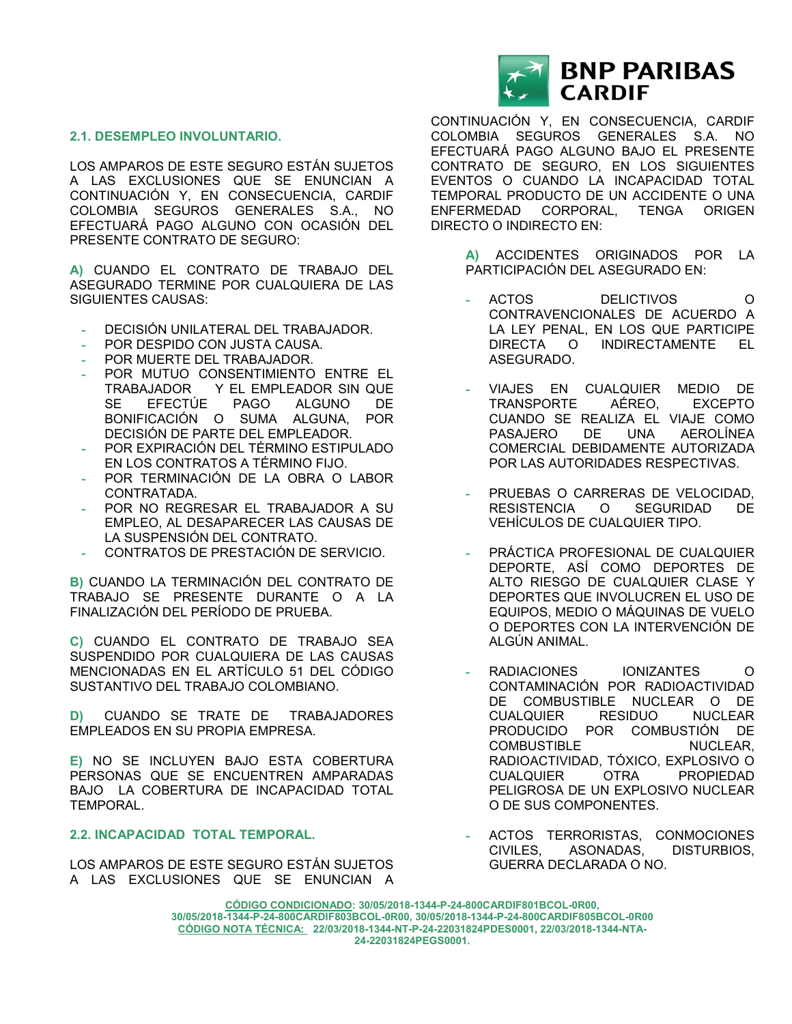#### **2.1. DESEMPLEO INVOLUNTARIO.**

LOS AMPAROS DE ESTE SEGURO ESTÁN SUJETOS A LAS EXCLUSIONES QUE SE ENUNCIAN A CONTINUACIÓN Y, EN CONSECUENCIA, CARDIF COLOMBIA SEGUROS GENERALES S.A., NO EFECTUARÁ PAGO ALGUNO CON OCASIÓN DEL PRESENTE CONTRATO DE SEGURO:

**A)** CUANDO EL CONTRATO DE TRABAJO DEL ASEGURADO TERMINE POR CUALQUIERA DE LAS SIGUIENTES CAUSAS:

- **-** DECISIÓN UNILATERAL DEL TRABAJADOR.
- **-** POR DESPIDO CON JUSTA CAUSA.
- **-** POR MUERTE DEL TRABAJADOR.
- **POR MUTUO CONSENTIMIENTO ENTRE EL<br>TRABAJADOR Y EL EMPLEADOR SIN QUE** Y EL EMPLEADOR SIN QUE SE EFECTÚE PAGO ALGUNO DE BONIFICACIÓN O SUMA ALGUNA, POR DECISIÓN DE PARTE DEL EMPLEADOR.
- **-** POR EXPIRACIÓN DEL TÉRMINO ESTIPULADO EN LOS CONTRATOS A TÉRMINO FIJO.
- **-** POR TERMINACIÓN DE LA OBRA O LABOR CONTRATADA.
- **-** POR NO REGRESAR EL TRABAJADOR A SU EMPLEO, AL DESAPARECER LAS CAUSAS DE LA SUSPENSIÓN DEL CONTRATO.
- **-** CONTRATOS DE PRESTACIÓN DE SERVICIO.

**B)** CUANDO LA TERMINACIÓN DEL CONTRATO DE TRABAJO SE PRESENTE DURANTE O A LA FINALIZACIÓN DEL PERÍODO DE PRUEBA.

**C)** CUANDO EL CONTRATO DE TRABAJO SEA SUSPENDIDO POR CUALQUIERA DE LAS CAUSAS MENCIONADAS EN EL ARTÍCULO 51 DEL CÓDIGO SUSTANTIVO DEL TRABAJO COLOMBIANO.

**D)** CUANDO SE TRATE DE TRABAJADORES EMPLEADOS EN SU PROPIA EMPRESA.

**E)** NO SE INCLUYEN BAJO ESTA COBERTURA PERSONAS QUE SE ENCUENTREN AMPARADAS BAJO LA COBERTURA DE INCAPACIDAD TOTAL TEMPORAL.

# **2.2. INCAPACIDAD TOTAL TEMPORAL.**

LOS AMPAROS DE ESTE SEGURO ESTÁN SUJETOS A LAS EXCLUSIONES QUE SE ENUNCIAN A



CONTINUACIÓN Y, EN CONSECUENCIA, CARDIF COLOMBIA SEGUROS GENERALES S.A. NO EFECTUARÁ PAGO ALGUNO BAJO EL PRESENTE CONTRATO DE SEGURO, EN LOS SIGUIENTES EVENTOS O CUANDO LA INCAPACIDAD TOTAL TEMPORAL PRODUCTO DE UN ACCIDENTE O UNA ENFERMEDAD CORPORAL, TENGA ORIGEN DIRECTO O INDIRECTO EN:

> **A)** ACCIDENTES ORIGINADOS POR LA PARTICIPACIÓN DEL ASEGURADO EN:

- **-** ACTOS DELICTIVOS O CONTRAVENCIONALES DE ACUERDO A LA LEY PENAL, EN LOS QUE PARTICIPE DIRECTA O INDIRECTAMENTE EL ASEGURADO.
- **-** VIAJES EN CUALQUIER MEDIO DE TRANSPORTE AÉREO, EXCEPTO CUANDO SE REALIZA EL VIAJE COMO PASAJERO DE UNA AEROLÍNEA COMERCIAL DEBIDAMENTE AUTORIZADA POR LAS AUTORIDADES RESPECTIVAS.
- **-** PRUEBAS O CARRERAS DE VELOCIDAD, RESISTENCIA O SEGURIDAD DE VEHÍCULOS DE CUALQUIER TIPO.
- **-** PRÁCTICA PROFESIONAL DE CUALQUIER DEPORTE, ASÍ COMO DEPORTES DE ALTO RIESGO DE CUALQUIER CLASE Y DEPORTES QUE INVOLUCREN EL USO DE EQUIPOS, MEDIO O MÁQUINAS DE VUELO O DEPORTES CON LA INTERVENCIÓN DE ALGÚN ANIMAL.
- **-** RADIACIONES IONIZANTES O CONTAMINACIÓN POR RADIOACTIVIDAD DE COMBUSTIBLE NUCLEAR O DE CUALQUIER RESIDUO NUCLEAR PRODUCIDO POR COMBUSTIÓN DE COMBUSTIBLE NUCLEAR, RADIOACTIVIDAD, TÓXICO, EXPLOSIVO O CUALQUIER OTRA PROPIEDAD PELIGROSA DE UN EXPLOSIVO NUCLEAR O DE SUS COMPONENTES.
- **-** ACTOS TERRORISTAS, CONMOCIONES CIVILES, ASONADAS, DISTURBIOS, GUERRA DECLARADA O NO.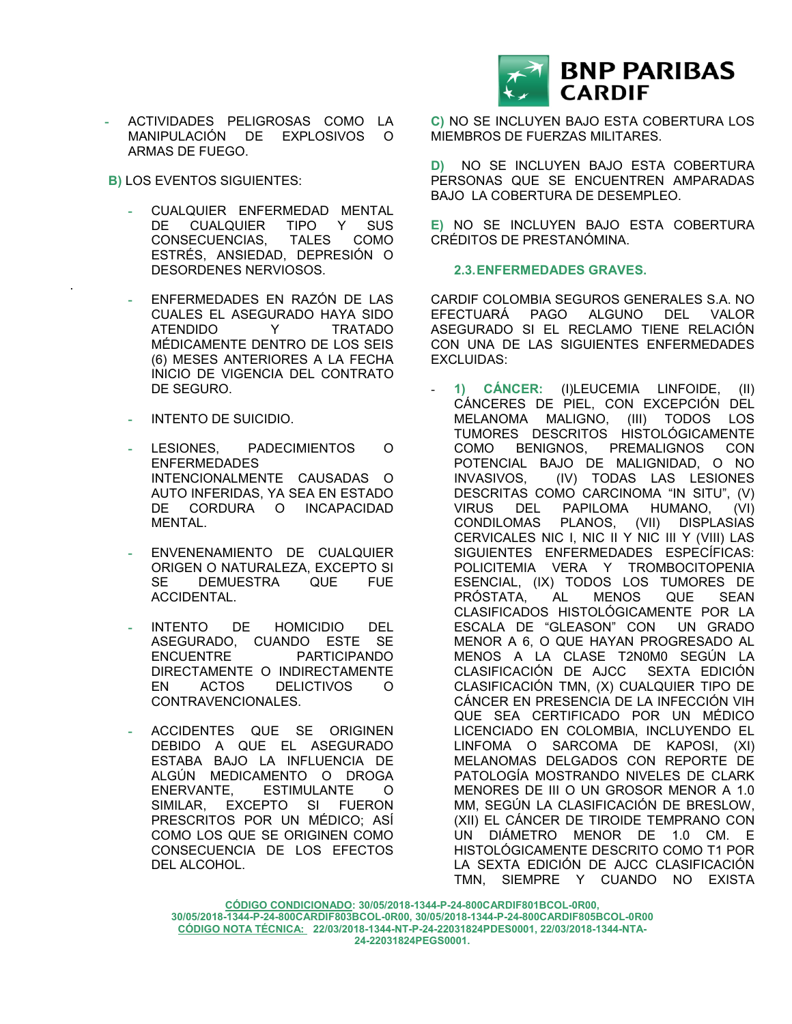

- **-** ACTIVIDADES PELIGROSAS COMO LA MANIPULACIÓN DE EXPLOSIVOS O ARMAS DE FUEGO.
- **B)** LOS EVENTOS SIGUIENTES:

.

- **-** CUALQUIER ENFERMEDAD MENTAL DE CUALQUIER TIPO Y SUS CONSECUENCIAS, TALES COMO ESTRÉS, ANSIEDAD, DEPRESIÓN O DESORDENES NERVIOSOS.
- **-** ENFERMEDADES EN RAZÓN DE LAS CUALES EL ASEGURADO HAYA SIDO ATENDIDO Y TRATADO MÉDICAMENTE DENTRO DE LOS SEIS (6) MESES ANTERIORES A LA FECHA INICIO DE VIGENCIA DEL CONTRATO DE SEGURO.
- **-** INTENTO DE SUICIDIO.
- **-** LESIONES, PADECIMIENTOS O ENFERMEDADES INTENCIONALMENTE CAUSADAS O AUTO INFERIDAS, YA SEA EN ESTADO DE CORDURA O INCAPACIDAD MENTAL.
- **-** ENVENENAMIENTO DE CUALQUIER ORIGEN O NATURALEZA, EXCEPTO SI SE DEMUESTRA QUE FUE ACCIDENTAL.
- **-** INTENTO DE HOMICIDIO DEL ASEGURADO, CUANDO ESTE SE ENCUENTRE PARTICIPANDO DIRECTAMENTE O INDIRECTAMENTE EN ACTOS DELICTIVOS O CONTRAVENCIONALES.
- **-** ACCIDENTES QUE SE ORIGINEN DEBIDO A QUE EL ASEGURADO ESTABA BAJO LA INFLUENCIA DE ALGÚN MEDICAMENTO O DROGA ENERVANTE, ESTIMULANTE O SIMILAR, EXCEPTO SI FUERON PRESCRITOS POR UN MÉDICO; ASÍ COMO LOS QUE SE ORIGINEN COMO CONSECUENCIA DE LOS EFECTOS DEL ALCOHOL.

**C)** NO SE INCLUYEN BAJO ESTA COBERTURA LOS MIEMBROS DE FUERZAS MILITARES.

**D)** NO SE INCLUYEN BAJO ESTA COBERTURA PERSONAS QUE SE ENCUENTREN AMPARADAS BAJO LA COBERTURA DE DESEMPLEO.

**E)** NO SE INCLUYEN BAJO ESTA COBERTURA CRÉDITOS DE PRESTANÓMINA.

# **2.3.ENFERMEDADES GRAVES.**

CARDIF COLOMBIA SEGUROS GENERALES S.A. NO EFECTUARÁ PAGO ALGUNO DEL VALOR ASEGURADO SI EL RECLAMO TIENE RELACIÓN CON UNA DE LAS SIGUIENTES ENFERMEDADES EXCLUIDAS:

- **1) CÁNCER:** (I)LEUCEMIA LINFOIDE, (II) CÁNCERES DE PIEL, CON EXCEPCIÓN DEL MELANOMA MALIGNO, (III) TODOS LOS TUMORES DESCRITOS HISTOLÓGICAMENTE COMO BENIGNOS, PREMALIGNOS CON POTENCIAL BAJO DE MALIGNIDAD, O NO (IV) TODAS LAS LESIONES DESCRITAS COMO CARCINOMA "IN SITU", (V) VIRUS DEL PAPILOMA HUMANO, (VI) CONDILOMAS PLANOS, (VII) DISPLASIAS CERVICALES NIC I, NIC II Y NIC III Y (VIII) LAS SIGUIENTES ENFERMEDADES ESPECÍFICAS: POLICITEMIA VERA Y TROMBOCITOPENIA ESENCIAL, (IX) TODOS LOS TUMORES DE PRÓSTATA, AL MENOS QUE SEAN CLASIFICADOS HISTOLÓGICAMENTE POR LA ESCALA DE "GLEASON" CON UN GRADO MENOR A 6, O QUE HAYAN PROGRESADO AL MENOS A LA CLASE T2N0M0 SEGÚN LA CLASIFICACIÓN DE AJCC SEXTA EDICIÓN CLASIFICACIÓN TMN, (X) CUALQUIER TIPO DE CÁNCER EN PRESENCIA DE LA INFECCIÓN VIH QUE SEA CERTIFICADO POR UN MÉDICO LICENCIADO EN COLOMBIA, INCLUYENDO EL LINFOMA O SARCOMA DE KAPOSI, (XI) MELANOMAS DELGADOS CON REPORTE DE PATOLOGÍA MOSTRANDO NIVELES DE CLARK MENORES DE III O UN GROSOR MENOR A 1.0 MM, SEGÚN LA CLASIFICACIÓN DE BRESLOW, (XII) EL CÁNCER DE TIROIDE TEMPRANO CON UN DIÁMETRO MENOR DE 1.0 CM. E HISTOLÓGICAMENTE DESCRITO COMO T1 POR LA SEXTA EDICIÓN DE AJCC CLASIFICACIÓN TMN, SIEMPRE Y CUANDO NO EXISTA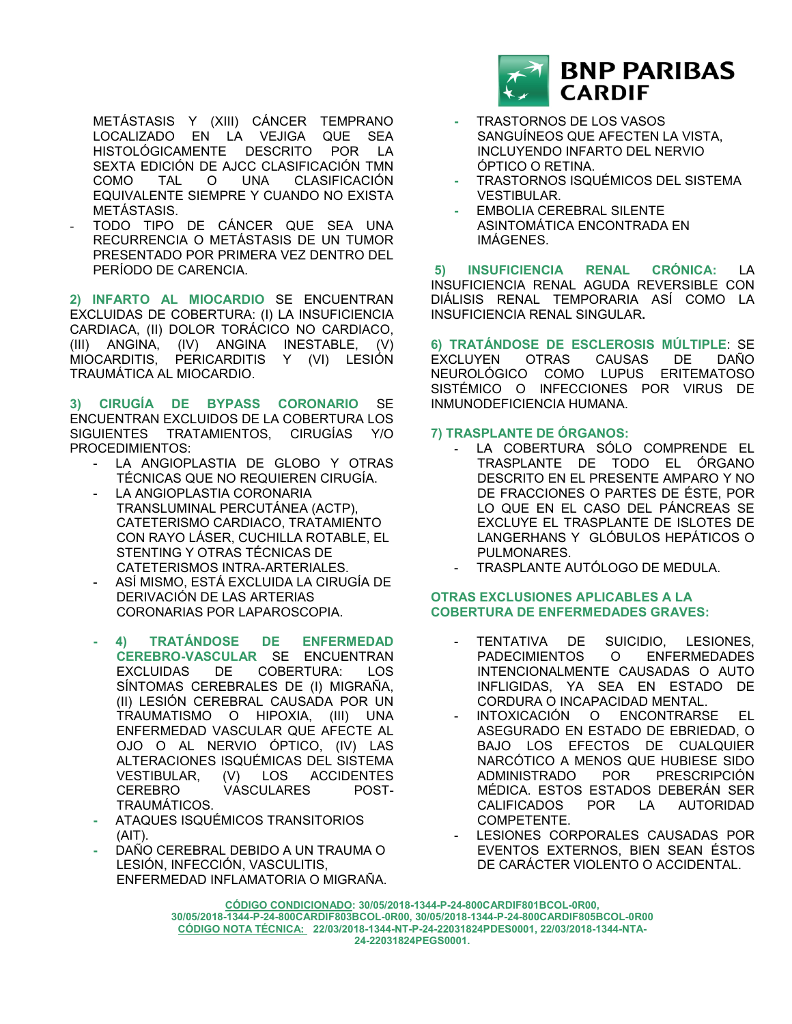METÁSTASIS Y (XIII) CÁNCER TEMPRANO LOCALIZADO EN LA VEJIGA QUE SEA HISTOLÓGICAMENTE DESCRITO POR LA SEXTA EDICIÓN DE AJCC CLASIFICACIÓN TMN COMO TAL O UNA CLASIFICACIÓN EQUIVALENTE SIEMPRE Y CUANDO NO EXISTA METÁSTASIS.

- TODO TIPO DE CÁNCER QUE SEA UNA RECURRENCIA O METÁSTASIS DE UN TUMOR PRESENTADO POR PRIMERA VEZ DENTRO DEL PERÍODO DE CARENCIA.

**2) INFARTO AL MIOCARDIO** SE ENCUENTRAN EXCLUIDAS DE COBERTURA: (I) LA INSUFICIENCIA CARDIACA, (II) DOLOR TORÁCICO NO CARDIACO, (III) ANGINA, (IV) ANGINA INESTABLE, (V) MIOCARDITIS, PERICARDITIS Y (VI) LESIÓN TRAUMÁTICA AL MIOCARDIO.

**3) CIRUGÍA DE BYPASS CORONARIO** SE ENCUENTRAN EXCLUIDOS DE LA COBERTURA LOS SIGUIENTES TRATAMIENTOS, CIRUGÍAS Y/O PROCEDIMIENTOS:

- LA ANGIOPLASTIA DE GLOBO Y OTRAS TÉCNICAS QUE NO REQUIEREN CIRUGÍA.
- LA ANGIOPLASTIA CORONARIA TRANSLUMINAL PERCUTÁNEA (ACTP), CATETERISMO CARDIACO, TRATAMIENTO CON RAYO LÁSER, CUCHILLA ROTABLE, EL STENTING Y OTRAS TÉCNICAS DE CATETERISMOS INTRA-ARTERIALES.
- ASÍ MISMO, ESTÁ EXCLUIDA LA CIRUGÍA DE DERIVACIÓN DE LAS ARTERIAS CORONARIAS POR LAPAROSCOPIA.
- **- 4) TRATÁNDOSE DE ENFERMEDAD CEREBRO-VASCULAR** SE ENCUENTRAN
- EXCLUIDAS DE COBERTURA: LOS SÍNTOMAS CEREBRALES DE (I) MIGRAÑA, (II) LESIÓN CEREBRAL CAUSADA POR UN TRAUMATISMO O HIPOXIA, (III) UNA ENFERMEDAD VASCULAR QUE AFECTE AL OJO O AL NERVIO ÓPTICO, (IV) LAS ALTERACIONES ISQUÉMICAS DEL SISTEMA VESTIBULAR, (V) LOS ACCIDENTES CEREBRO VASCULARES POST-TRAUMÁTICOS.
- **-** ATAQUES ISQUÉMICOS TRANSITORIOS  $(AIT)$ .
- **-** DAÑO CEREBRAL DEBIDO A UN TRAUMA O LESIÓN, INFECCIÓN, VASCULITIS, ENFERMEDAD INFLAMATORIA O MIGRAÑA.



- **-** TRASTORNOS DE LOS VASOS SANGUÍNEOS QUE AFECTEN LA VISTA, INCLUYENDO INFARTO DEL NERVIO ÓPTICO O RETINA.
- **-** TRASTORNOS ISQUÉMICOS DEL SISTEMA VESTIBULAR.
- **-** EMBOLIA CEREBRAL SILENTE ASINTOMÁTICA ENCONTRADA EN IMÁGENES.

**5) INSUFICIENCIA RENAL CRÓNICA:** LA INSUFICIENCIA RENAL AGUDA REVERSIBLE CON DIÁLISIS RENAL TEMPORARIA ASÍ COMO LA INSUFICIENCIA RENAL SINGULAR**.**

**6) TRATÁNDOSE DE ESCLEROSIS MÚLTIPLE**: SE EXCLUYEN OTRAS CAUSAS DE DAÑO NEUROLÓGICO COMO LUPUS ERITEMATOSO SISTÉMICO O INFECCIONES POR VIRUS DE INMUNODEFICIENCIA HUMANA.

# **7) TRASPLANTE DE ÓRGANOS:**

- LA COBERTURA SÓLO COMPRENDE EL TRASPLANTE DE TODO EL ÓRGANO DESCRITO EN EL PRESENTE AMPARO Y NO DE FRACCIONES O PARTES DE ÉSTE, POR LO QUE EN EL CASO DEL PÁNCREAS SE EXCLUYE EL TRASPLANTE DE ISLOTES DE LANGERHANS Y GLÓBULOS HEPÁTICOS O PULMONARES.
- TRASPLANTE AUTÓLOGO DE MEDULA.

### **OTRAS EXCLUSIONES APLICABLES A LA COBERTURA DE ENFERMEDADES GRAVES:**

- TENTATIVA DE SUICIDIO, LESIONES, PADECIMIENTOS O ENFERMEDADES INTENCIONALMENTE CAUSADAS O AUTO INFLIGIDAS, YA SEA EN ESTADO DE CORDURA O INCAPACIDAD MENTAL.
- INTOXICACIÓN O ENCONTRARSE EL ASEGURADO EN ESTADO DE EBRIEDAD, O BAJO LOS EFECTOS DE CUALQUIER NARCÓTICO A MENOS QUE HUBIESE SIDO ADMINISTRADO POR PRESCRIPCIÓN MÉDICA. ESTOS ESTADOS DEBERÁN SER CALIFICADOS POR LA AUTORIDAD COMPETENTE.
- LESIONES CORPORALES CAUSADAS POR EVENTOS EXTERNOS, BIEN SEAN ÉSTOS DE CARÁCTER VIOLENTO O ACCIDENTAL.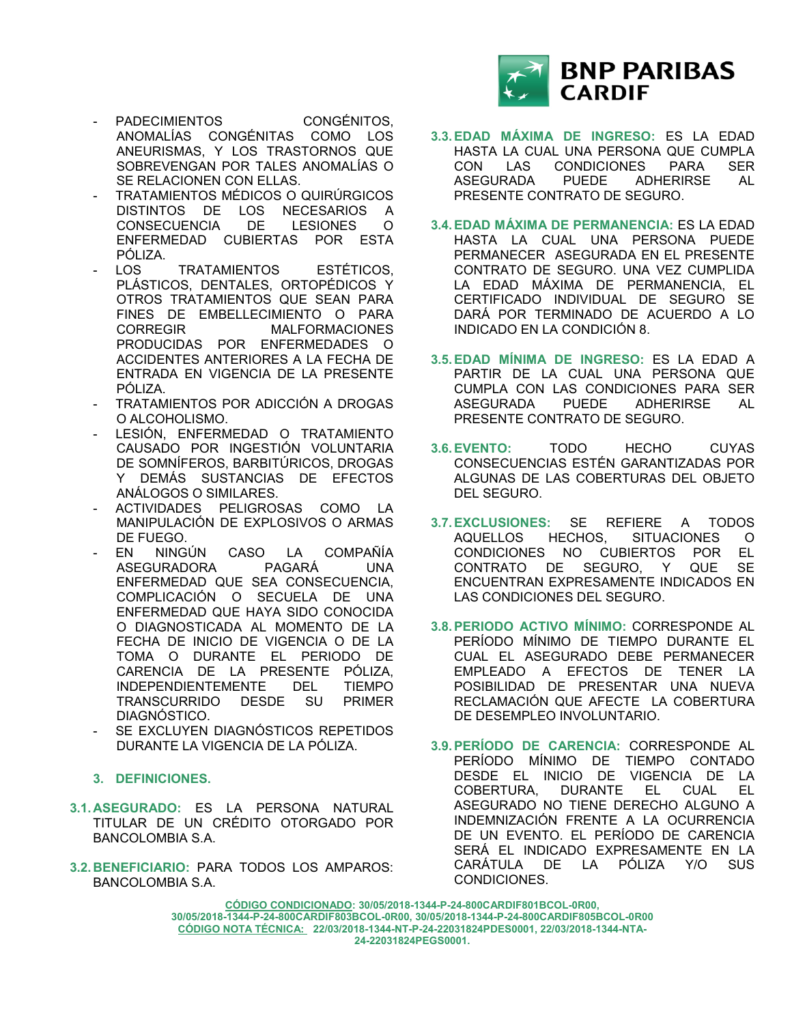

- PADECIMIENTOS CONGÉNITOS, ANOMALÍAS CONGÉNITAS COMO LOS ANEURISMAS, Y LOS TRASTORNOS QUE SOBREVENGAN POR TALES ANOMALÍAS O SE RELACIONEN CON ELLAS.
- TRATAMIENTOS MÉDICOS O QUIRÚRGICOS DISTINTOS DE LOS NECESARIOS A CONSECUENCIA DE LESIONES O ENFERMEDAD CUBIERTAS POR ESTA PÓLIZA.
- LOS TRATAMIENTOS ESTÉTICOS. PLÁSTICOS, DENTALES, ORTOPÉDICOS Y OTROS TRATAMIENTOS QUE SEAN PARA FINES DE EMBELLECIMIENTO O PARA CORREGIR MALFORMACIONES PRODUCIDAS POR ENFERMEDADES O ACCIDENTES ANTERIORES A LA FECHA DE ENTRADA EN VIGENCIA DE LA PRESENTE PÓLIZA.
- TRATAMIENTOS POR ADICCIÓN A DROGAS O ALCOHOLISMO.
- LESIÓN, ENFERMEDAD O TRATAMIENTO CAUSADO POR INGESTIÓN VOLUNTARIA DE SOMNÍFEROS, BARBITÚRICOS, DROGAS Y DEMÁS SUSTANCIAS DE EFECTOS ANÁLOGOS O SIMILARES.
- ACTIVIDADES PELIGROSAS COMO LA MANIPULACIÓN DE EXPLOSIVOS O ARMAS DE FUEGO.
- EN NINGÚN CASO LA COMPAÑÍA<br>ASEGURADORA PAGARÁ UNA ASEGURADORA PAGARÁ UNA ENFERMEDAD QUE SEA CONSECUENCIA, COMPLICACIÓN O SECUELA DE UNA ENFERMEDAD QUE HAYA SIDO CONOCIDA O DIAGNOSTICADA AL MOMENTO DE LA FECHA DE INICIO DE VIGENCIA O DE LA TOMA O DURANTE EL PERIODO DE CARENCIA DE LA PRESENTE PÓLIZA, INDEPENDIENTEMENTE DEL TIEMPO<br>TRANSCURRIDO DESDE SU PRIMER TRANSCURRIDO DESDE SU DIAGNÓSTICO.
- SE EXCLUYEN DIAGNÓSTICOS REPETIDOS DURANTE LA VIGENCIA DE LA PÓLIZA.
- **3. DEFINICIONES.**
- **3.1. ASEGURADO:** ES LA PERSONA NATURAL TITULAR DE UN CRÉDITO OTORGADO POR BANCOLOMBIA S.A.
- **3.2. BENEFICIARIO:** PARA TODOS LOS AMPAROS: BANCOLOMBIA S.A.
- **3.3.EDAD MÁXIMA DE INGRESO:** ES LA EDAD HASTA LA CUAL UNA PERSONA QUE CUMPLA CON LAS CONDICIONES PARA SER ASEGURADA PUEDE ADHERIRSE AL PRESENTE CONTRATO DE SEGURO.
- **3.4.EDAD MÁXIMA DE PERMANENCIA:** ES LA EDAD HASTA LA CUAL UNA PERSONA PUEDE PERMANECER ASEGURADA EN EL PRESENTE CONTRATO DE SEGURO. UNA VEZ CUMPLIDA LA EDAD MÁXIMA DE PERMANENCIA, EL CERTIFICADO INDIVIDUAL DE SEGURO SE DARÁ POR TERMINADO DE ACUERDO A LO INDICADO EN LA CONDICIÓN 8.
- **3.5.EDAD MÍNIMA DE INGRESO:** ES LA EDAD A PARTIR DE LA CUAL UNA PERSONA QUE CUMPLA CON LAS CONDICIONES PARA SER ASEGURADA PUEDE ADHERIRSE AL PRESENTE CONTRATO DE SEGURO.
- **3.6.EVENTO:** TODO HECHO CUYAS CONSECUENCIAS ESTÉN GARANTIZADAS POR ALGUNAS DE LAS COBERTURAS DEL OBJETO DEL SEGURO.
- **3.7.EXCLUSIONES:** SE REFIERE A TODOS AQUELLOS HECHOS, SITUACIONES O CONDICIONES NO CUBIERTOS POR EL CONTRATO DE SEGURO, Y QUE SE ENCUENTRAN EXPRESAMENTE INDICADOS EN LAS CONDICIONES DEL SEGURO.
- **3.8.PERIODO ACTIVO MÍNIMO:** CORRESPONDE AL PERÍODO MÍNIMO DE TIEMPO DURANTE EL CUAL EL ASEGURADO DEBE PERMANECER EMPLEADO A EFECTOS DE TENER LA POSIBILIDAD DE PRESENTAR UNA NUEVA RECLAMACIÓN QUE AFECTE LA COBERTURA DE DESEMPLEO INVOLUNTARIO.
- **3.9.PERÍODO DE CARENCIA:** CORRESPONDE AL PERÍODO MÍNIMO DE TIEMPO CONTADO DESDE EL INICIO DE VIGENCIA DE LA<br>COBERTURA, DURANTE EL CUAL EL COBERTURA, DURANTE EL CUAL EL ASEGURADO NO TIENE DERECHO ALGUNO A INDEMNIZACIÓN FRENTE A LA OCURRENCIA DE UN EVENTO. EL PERÍODO DE CARENCIA SERÁ EL INDICADO EXPRESAMENTE EN LA CARÁTULA DE LA PÓLIZA Y/O SUS CONDICIONES.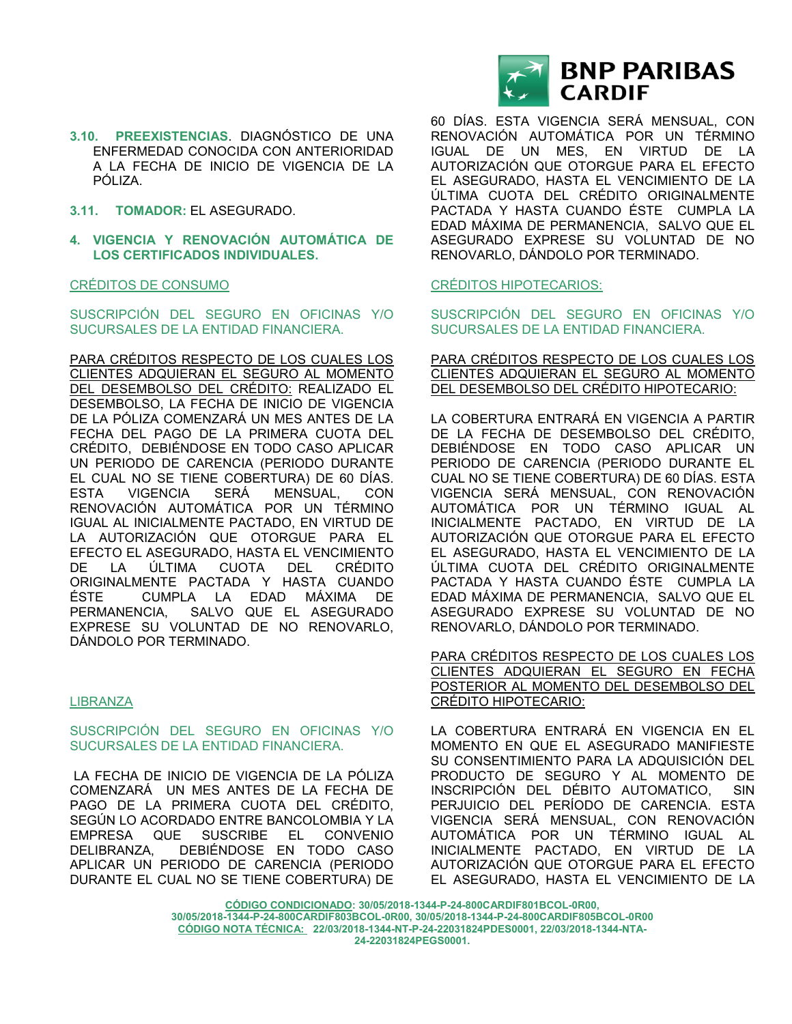- **3.10. PREEXISTENCIAS**. DIAGNÓSTICO DE UNA ENFERMEDAD CONOCIDA CON ANTERIORIDAD A LA FECHA DE INICIO DE VIGENCIA DE LA PÓLIZA.
- **3.11. TOMADOR:** EL ASEGURADO.
- **4. VIGENCIA Y RENOVACIÓN AUTOMÁTICA DE LOS CERTIFICADOS INDIVIDUALES.**

#### CRÉDITOS DE CONSUMO

SUSCRIPCIÓN DEL SEGURO EN OFICINAS Y/O SUCURSALES DE LA ENTIDAD FINANCIERA.

PARA CRÉDITOS RESPECTO DE LOS CUALES LOS CLIENTES ADQUIERAN EL SEGURO AL MOMENTO DEL DESEMBOLSO DEL CRÉDITO: REALIZADO EL DESEMBOLSO, LA FECHA DE INICIO DE VIGENCIA DE LA PÓLIZA COMENZARÁ UN MES ANTES DE LA FECHA DEL PAGO DE LA PRIMERA CUOTA DEL CRÉDITO, DEBIÉNDOSE EN TODO CASO APLICAR UN PERIODO DE CARENCIA (PERIODO DURANTE EL CUAL NO SE TIENE COBERTURA) DE 60 DÍAS. ESTA VIGENCIA SERÁ MENSUAL, CON RENOVACIÓN AUTOMÁTICA POR UN TÉRMINO IGUAL AL INICIALMENTE PACTADO, EN VIRTUD DE LA AUTORIZACIÓN QUE OTORGUE PARA EL EFECTO EL ASEGURADO, HASTA EL VENCIMIENTO DE LA ÚLTIMA CUOTA DEL CRÉDITO ORIGINALMENTE PACTADA Y HASTA CUANDO ÉSTE CUMPLA LA EDAD MÁXIMA DE PERMANENCIA, SALVO QUE EL ASEGURADO EXPRESE SU VOLUNTAD DE NO RENOVARLO, DÁNDOLO POR TERMINADO.

# LIBRANZA

#### SUSCRIPCIÓN DEL SEGURO EN OFICINAS Y/O SUCURSALES DE LA ENTIDAD FINANCIERA.

LA FECHA DE INICIO DE VIGENCIA DE LA PÓLIZA COMENZARÁ UN MES ANTES DE LA FECHA DE PAGO DE LA PRIMERA CUOTA DEL CRÉDITO, SEGÚN LO ACORDADO ENTRE BANCOLOMBIA Y LA EMPRESA QUE SUSCRIBE EL CONVENIO DELIBRANZA, DEBIÉNDOSE EN TODO CASO APLICAR UN PERIODO DE CARENCIA (PERIODO DURANTE EL CUAL NO SE TIENE COBERTURA) DE



60 DÍAS. ESTA VIGENCIA SERÁ MENSUAL, CON RENOVACIÓN AUTOMÁTICA POR UN TÉRMINO IGUAL DE UN MES, EN VIRTUD DE LA AUTORIZACIÓN QUE OTORGUE PARA EL EFECTO EL ASEGURADO, HASTA EL VENCIMIENTO DE LA ÚLTIMA CUOTA DEL CRÉDITO ORIGINALMENTE PACTADA Y HASTA CUANDO ÉSTE CUMPLA LA EDAD MÁXIMA DE PERMANENCIA, SALVO QUE EL ASEGURADO EXPRESE SU VOLUNTAD DE NO RENOVARLO, DÁNDOLO POR TERMINADO.

#### CRÉDITOS HIPOTECARIOS:

SUSCRIPCIÓN DEL SEGURO EN OFICINAS Y/O SUCURSALES DE LA ENTIDAD FINANCIERA.

PARA CRÉDITOS RESPECTO DE LOS CUALES LOS CLIENTES ADQUIERAN EL SEGURO AL MOMENTO DEL DESEMBOLSO DEL CRÉDITO HIPOTECARIO:

LA COBERTURA ENTRARÁ EN VIGENCIA A PARTIR DE LA FECHA DE DESEMBOLSO DEL CRÉDITO, DEBIÉNDOSE EN TODO CASO APLICAR UN PERIODO DE CARENCIA (PERIODO DURANTE EL CUAL NO SE TIENE COBERTURA) DE 60 DÍAS. ESTA VIGENCIA SERÁ MENSUAL, CON RENOVACIÓN AUTOMÁTICA POR UN TÉRMINO IGUAL AL INICIALMENTE PACTADO, EN VIRTUD DE LA AUTORIZACIÓN QUE OTORGUE PARA EL EFECTO EL ASEGURADO, HASTA EL VENCIMIENTO DE LA ÚLTIMA CUOTA DEL CRÉDITO ORIGINALMENTE PACTADA Y HASTA CUANDO ÉSTE CUMPLA LA EDAD MÁXIMA DE PERMANENCIA, SALVO QUE EL ASEGURADO EXPRESE SU VOLUNTAD DE NO RENOVARLO, DÁNDOLO POR TERMINADO.

PARA CRÉDITOS RESPECTO DE LOS CUALES LOS CLIENTES ADQUIERAN EL SEGURO EN FECHA POSTERIOR AL MOMENTO DEL DESEMBOLSO DEL CRÉDITO HIPOTECARIO:

LA COBERTURA ENTRARÁ EN VIGENCIA EN EL MOMENTO EN QUE EL ASEGURADO MANIFIESTE SU CONSENTIMIENTO PARA LA ADQUISICIÓN DEL PRODUCTO DE SEGURO Y AL MOMENTO DE INSCRIPCIÓN DEL DÉBITO AUTOMATICO, SIN PERJUICIO DEL PERÍODO DE CARENCIA. ESTA VIGENCIA SERÁ MENSUAL, CON RENOVACIÓN AUTOMÁTICA POR UN TÉRMINO IGUAL AL INICIALMENTE PACTADO, EN VIRTUD DE LA AUTORIZACIÓN QUE OTORGUE PARA EL EFECTO EL ASEGURADO, HASTA EL VENCIMIENTO DE LA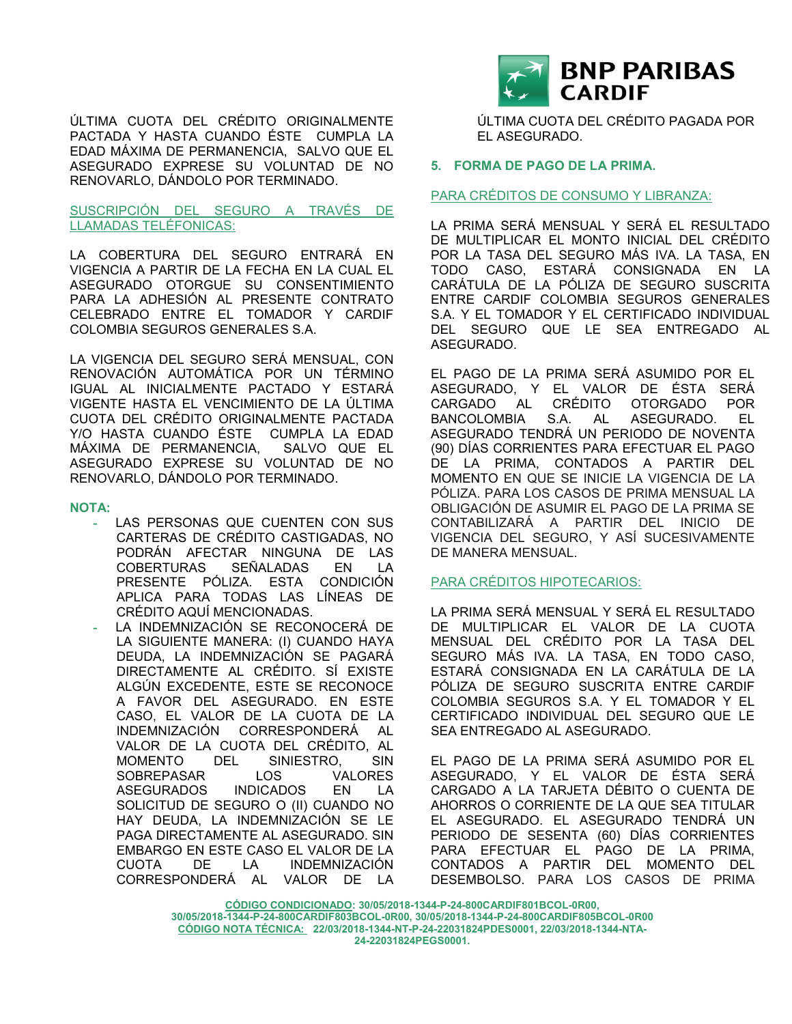ÚLTIMA CUOTA DEL CRÉDITO ORIGINALMENTE PACTADA Y HASTA CUANDO ÉSTE CUMPLA LA EDAD MÁXIMA DE PERMANENCIA, SALVO QUE EL ASEGURADO EXPRESE SU VOLUNTAD DE NO RENOVARLO, DÁNDOLO POR TERMINADO.

### SUSCRIPCIÓN DEL SEGURO A TRAVÉS DE LLAMADAS TELÉFONICAS:

LA COBERTURA DEL SEGURO ENTRARÁ EN VIGENCIA A PARTIR DE LA FECHA EN LA CUAL EL ASEGURADO OTORGUE SU CONSENTIMIENTO PARA LA ADHESIÓN AL PRESENTE CONTRATO CELEBRADO ENTRE EL TOMADOR Y CARDIF COLOMBIA SEGUROS GENERALES S.A.

LA VIGENCIA DEL SEGURO SERÁ MENSUAL, CON RENOVACIÓN AUTOMÁTICA POR UN TÉRMINO IGUAL AL INICIALMENTE PACTADO Y ESTARÁ VIGENTE HASTA EL VENCIMIENTO DE LA ÚLTIMA CUOTA DEL CRÉDITO ORIGINALMENTE PACTADA Y/O HASTA CUANDO ÉSTE CUMPLA LA EDAD MÁXIMA DE PERMANENCIA, SALVO QUE EL ASEGURADO EXPRESE SU VOLUNTAD DE NO RENOVARLO, DÁNDOLO POR TERMINADO.

#### **NOTA:**

- LAS PERSONAS QUE CUENTEN CON SUS CARTERAS DE CRÉDITO CASTIGADAS, NO PODRÁN AFECTAR NINGUNA DE LAS COBERTURAS SEÑALADAS EN LA PRESENTE PÓLIZA. ESTA CONDICIÓN APLICA PARA TODAS LAS LÍNEAS DE CRÉDITO AQUÍ MENCIONADAS.
- **-** LA INDEMNIZACIÓN SE RECONOCERÁ DE LA SIGUIENTE MANERA: (I) CUANDO HAYA DEUDA, LA INDEMNIZACIÓN SE PAGARÁ DIRECTAMENTE AL CRÉDITO. SÍ EXISTE ALGÚN EXCEDENTE, ESTE SE RECONOCE A FAVOR DEL ASEGURADO. EN ESTE CASO, EL VALOR DE LA CUOTA DE LA INDEMNIZACIÓN CORRESPONDERÁ AL VALOR DE LA CUOTA DEL CRÉDITO, AL MOMENTO DEL SINIESTRO, SIN SOBREPASAR LOS VALORES ASEGURADOS INDICADOS EN LA SOLICITUD DE SEGURO O (II) CUANDO NO HAY DEUDA, LA INDEMNIZACIÓN SE LE PAGA DIRECTAMENTE AL ASEGURADO. SIN EMBARGO EN ESTE CASO EL VALOR DE LA CUOTA DE LA INDEMNIZACIÓN CORRESPONDERÁ AL VALOR DE LA



ÚLTIMA CUOTA DEL CRÉDITO PAGADA POR EL ASEGURADO.

# **5. FORMA DE PAGO DE LA PRIMA.**

### PARA CRÉDITOS DE CONSUMO Y LIBRANZA:

LA PRIMA SERÁ MENSUAL Y SERÁ EL RESULTADO DE MULTIPLICAR EL MONTO INICIAL DEL CRÉDITO POR LA TASA DEL SEGURO MÁS IVA. LA TASA, EN TODO CASO, ESTARÁ CONSIGNADA EN LA CARÁTULA DE LA PÓLIZA DE SEGURO SUSCRITA ENTRE CARDIF COLOMBIA SEGUROS GENERALES S.A. Y EL TOMADOR Y EL CERTIFICADO INDIVIDUAL DEL SEGURO QUE LE SEA ENTREGADO AL ASEGURADO.

EL PAGO DE LA PRIMA SERÁ ASUMIDO POR EL ASEGURADO, Y EL VALOR DE ÉSTA SERÁ CARGADO AL CRÉDITO OTORGADO POR BANCOLOMBIA S.A. AL ASEGURADO. EL ASEGURADO TENDRÁ UN PERIODO DE NOVENTA (90) DÍAS CORRIENTES PARA EFECTUAR EL PAGO DE LA PRIMA, CONTADOS A PARTIR DEL MOMENTO EN QUE SE INICIE LA VIGENCIA DE LA PÓLIZA. PARA LOS CASOS DE PRIMA MENSUAL LA OBLIGACIÓN DE ASUMIR EL PAGO DE LA PRIMA SE CONTABILIZARÁ A PARTIR DEL INICIO DE VIGENCIA DEL SEGURO, Y ASÍ SUCESIVAMENTE DE MANERA MENSUAL.

# PARA CRÉDITOS HIPOTECARIOS:

LA PRIMA SERÁ MENSUAL Y SERÁ EL RESULTADO DE MULTIPLICAR EL VALOR DE LA CUOTA MENSUAL DEL CRÉDITO POR LA TASA DEL SEGURO MÁS IVA. LA TASA, EN TODO CASO, ESTARÁ CONSIGNADA EN LA CARÁTULA DE LA PÓLIZA DE SEGURO SUSCRITA ENTRE CARDIF COLOMBIA SEGUROS S.A. Y EL TOMADOR Y EL CERTIFICADO INDIVIDUAL DEL SEGURO QUE LE SEA ENTREGADO AL ASEGURADO.

EL PAGO DE LA PRIMA SERÁ ASUMIDO POR EL ASEGURADO, Y EL VALOR DE ÉSTA SERÁ CARGADO A LA TARJETA DÉBITO O CUENTA DE AHORROS O CORRIENTE DE LA QUE SEA TITULAR EL ASEGURADO. EL ASEGURADO TENDRÁ UN PERIODO DE SESENTA (60) DÍAS CORRIENTES PARA EFECTUAR EL PAGO DE LA PRIMA, CONTADOS A PARTIR DEL MOMENTO DEL DESEMBOLSO. PARA LOS CASOS DE PRIMA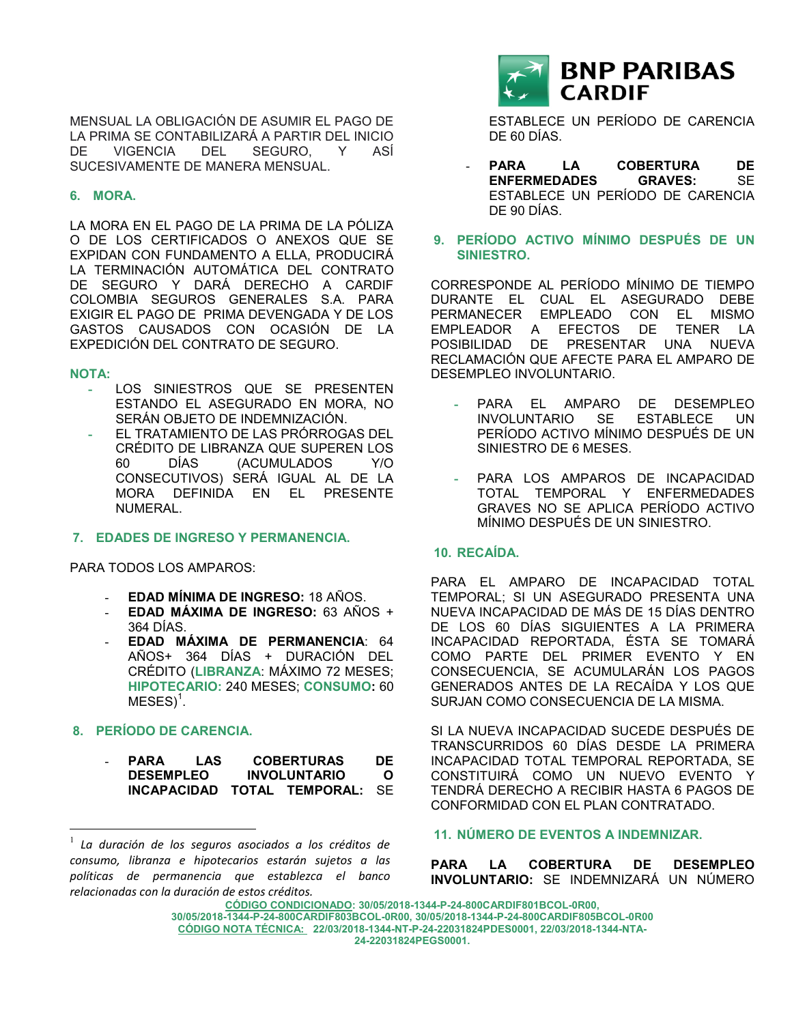MENSUAL LA OBLIGACIÓN DE ASUMIR EL PAGO DE LA PRIMA SE CONTABILIZARÁ A PARTIR DEL INICIO DE VIGENCIA DEL SEGURO, Y ASÍ SUCESIVAMENTE DE MANERA MENSUAL.

# **6. MORA.**

LA MORA EN EL PAGO DE LA PRIMA DE LA PÓLIZA O DE LOS CERTIFICADOS O ANEXOS QUE SE EXPIDAN CON FUNDAMENTO A ELLA, PRODUCIRÁ LA TERMINACIÓN AUTOMÁTICA DEL CONTRATO DE SEGURO Y DARÁ DERECHO A CARDIF COLOMBIA SEGUROS GENERALES S.A. PARA EXIGIR EL PAGO DE PRIMA DEVENGADA Y DE LOS GASTOS CAUSADOS CON OCASIÓN DE LA EXPEDICIÓN DEL CONTRATO DE SEGURO.

### **NOTA:**

 $\overline{a}$ 

- LOS SINIESTROS QUE SE PRESENTEN ESTANDO EL ASEGURADO EN MORA, NO SERÁN OBJETO DE INDEMNIZACIÓN.
- **-** EL TRATAMIENTO DE LAS PRÓRROGAS DEL CRÉDITO DE LIBRANZA QUE SUPEREN LOS 60 DÍAS (ACUMULADOS Y/O CONSECUTIVOS) SERÁ IGUAL AL DE LA MORA DEFINIDA EN EL PRESENTE NUMERAL.

**7. EDADES DE INGRESO Y PERMANENCIA.**

PARA TODOS LOS AMPAROS:

- **EDAD MÍNIMA DE INGRESO:** 18 AÑOS.
- **EDAD MÁXIMA DE INGRESO:** 63 AÑOS + 364 DÍAS.
- **EDAD MÁXIMA DE PERMANENCIA**: 64 AÑOS+ 364 DÍAS + DURACIÓN DEL CRÉDITO (**LIBRANZA**: MÁXIMO 72 MESES; **HIPOTECARIO:** 240 MESES; **CONSUMO:** 60  $MESES$ <sup>1</sup>.

# **8. PERÍODO DE CARENCIA.**

| PARA             | LAS | <b>COBERTURAS</b>              | DE           |
|------------------|-----|--------------------------------|--------------|
| <b>DESEMPLEO</b> |     | <b>INVOLUNTARIO</b>            | <sup>o</sup> |
|                  |     | INCAPACIDAD TOTAL TEMPORAL: SE |              |

<sup>1</sup> *La duración de los seguros asociados a los créditos de consumo, libranza e hipotecarios estarán sujetos a las políticas de permanencia que establezca el banco relacionadas con la duración de estos créditos.*



ESTABLECE UN PERÍODO DE CARENCIA DE 60 DÍAS.

- PARA LA COBERTURA DE **ENFERMEDADES GRAVES:** SE ESTABLECE UN PERÍODO DE CARENCIA DE 90 DÍAS.
- **9. PERÍODO ACTIVO MÍNIMO DESPUÉS DE UN SINIESTRO.**

CORRESPONDE AL PERÍODO MÍNIMO DE TIEMPO DURANTE EL CUAL EL ASEGURADO DEBE PERMANECER EMPLEADO CON EL MISMO EMPLEADOR A EFECTOS DE TENER LA POSIBILIDAD DE PRESENTAR UNA NUEVA RECLAMACIÓN QUE AFECTE PARA EL AMPARO DE DESEMPLEO INVOLUNTARIO.

- **-** PARA EL AMPARO DE DESEMPLEO INVOLUNTARIO SE ESTABLECE UN PERÍODO ACTIVO MÍNIMO DESPUÉS DE UN SINIESTRO DE 6 MESES.
- **-** PARA LOS AMPAROS DE INCAPACIDAD TOTAL TEMPORAL Y ENFERMEDADES GRAVES NO SE APLICA PERÍODO ACTIVO MÍNIMO DESPUÉS DE UN SINIESTRO.

# **10. RECAÍDA.**

PARA EL AMPARO DE INCAPACIDAD TOTAL TEMPORAL; SI UN ASEGURADO PRESENTA UNA NUEVA INCAPACIDAD DE MÁS DE 15 DÍAS DENTRO DE LOS 60 DÍAS SIGUIENTES A LA PRIMERA INCAPACIDAD REPORTADA, ÉSTA SE TOMARÁ COMO PARTE DEL PRIMER EVENTO Y EN CONSECUENCIA, SE ACUMULARÁN LOS PAGOS GENERADOS ANTES DE LA RECAÍDA Y LOS QUE SURJAN COMO CONSECUENCIA DE LA MISMA.

SI LA NUEVA INCAPACIDAD SUCEDE DESPUÉS DE TRANSCURRIDOS 60 DÍAS DESDE LA PRIMERA INCAPACIDAD TOTAL TEMPORAL REPORTADA, SE CONSTITUIRÁ COMO UN NUEVO EVENTO Y TENDRÁ DERECHO A RECIBIR HASTA 6 PAGOS DE CONFORMIDAD CON EL PLAN CONTRATADO.

#### **11. NÚMERO DE EVENTOS A INDEMNIZAR.**

**PARA LA COBERTURA DE DESEMPLEO INVOLUNTARIO:** SE INDEMNIZARÁ UN NÚMERO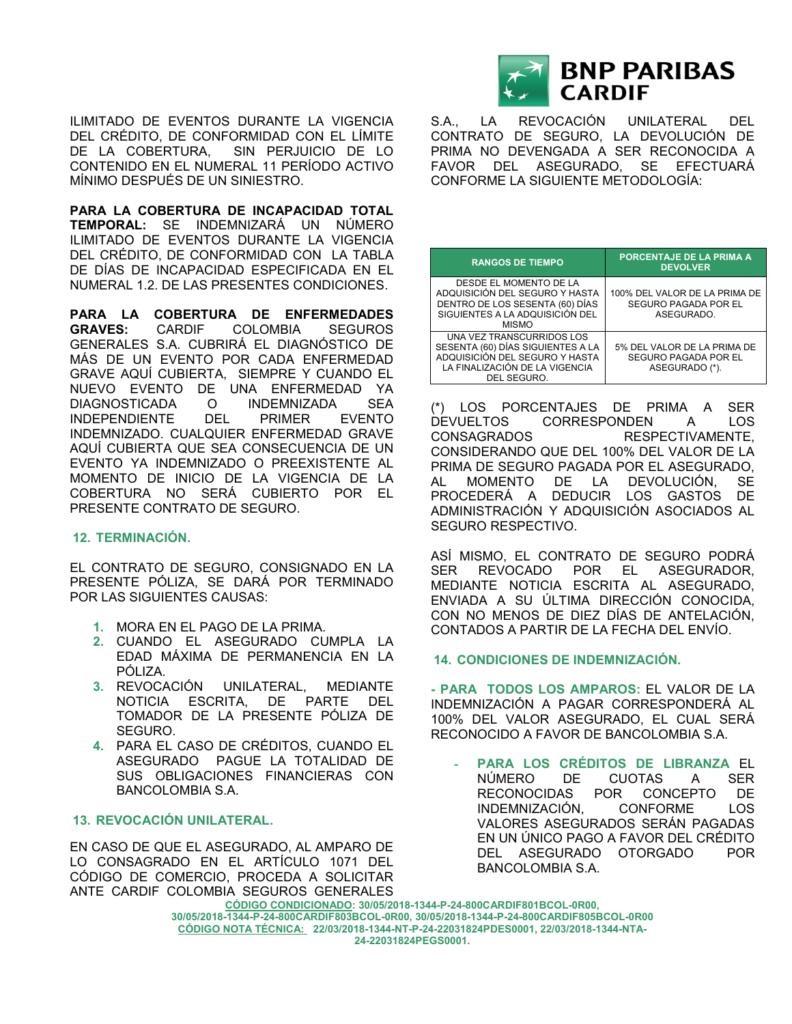ILIMITADO DE EVENTOS DURANTE LA VIGENCIA DEL CRÉDITO, DE CONFORMIDAD CON EL LÍMITE DE LA COBERTURA, SIN PERJUICIO DE LO CONTENIDO EN EL NUMERAL 11 PERÍODO ACTIVO MÍNIMO DESPUÉS DE UN SINIESTRO.

**PARA LA COBERTURA DE INCAPACIDAD TOTAL TEMPORAL:** SE INDEMNIZARÁ UN NÚMERO ILIMITADO DE EVENTOS DURANTE LA VIGENCIA DEL CRÉDITO, DE CONFORMIDAD CON LA TABLA DE DÍAS DE INCAPACIDAD ESPECIFICADA EN EL NUMERAL 1.2. DE LAS PRESENTES CONDICIONES.

**PARA LA COBERTURA DE ENFERMEDADES GRAVES:** CARDIF COLOMBIA SEGUROS GENERALES S.A. CUBRIRÁ EL DIAGNÓSTICO DE MÁS DE UN EVENTO POR CADA ENFERMEDAD GRAVE AQUÍ CUBIERTA, SIEMPRE Y CUANDO EL NUEVO EVENTO DE UNA ENFERMEDAD YA DIAGNOSTICADA O INDEMNIZADA SEA INDEPENDIENTE DEL PRIMER EVENTO INDEMNIZADO. CUALQUIER ENFERMEDAD GRAVE AQUÍ CUBIERTA QUE SEA CONSECUENCIA DE UN EVENTO YA INDEMNIZADO O PREEXISTENTE AL MOMENTO DE INICIO DE LA VIGENCIA DE LA COBERTURA NO SERÁ CUBIERTO POR EL PRESENTE CONTRATO DE SEGURO.

#### **12. TERMINACIÓN.**

EL CONTRATO DE SEGURO, CONSIGNADO EN LA PRESENTE PÓLIZA, SE DARÁ POR TERMINADO POR LAS SIGUIENTES CAUSAS:

- **1.** MORA EN EL PAGO DE LA PRIMA.
- **2.** CUANDO EL ASEGURADO CUMPLA LA EDAD MÁXIMA DE PERMANENCIA EN LA PÓLIZA.
- **3.** REVOCACIÓN UNILATERAL, MEDIANTE NOTICIA ESCRITA, DE PARTE DEL TOMADOR DE LA PRESENTE PÓLIZA DE SEGURO.
- **4.** PARA EL CASO DE CRÉDITOS, CUANDO EL ASEGURADO PAGUE LA TOTALIDAD DE SUS OBLIGACIONES FINANCIERAS CON BANCOLOMBIA S.A.

# **13. REVOCACIÓN UNILATERAL.**

EN CASO DE QUE EL ASEGURADO, AL AMPARO DE LO CONSAGRADO EN EL ARTÍCULO 1071 DEL CÓDIGO DE COMERCIO, PROCEDA A SOLICITAR ANTE CARDIF COLOMBIA SEGUROS GENERALES



S.A., LA REVOCACIÓN UNILATERAL DEL CONTRATO DE SEGURO, LA DEVOLUCIÓN DE PRIMA NO DEVENGADA A SER RECONOCIDA A FAVOR DEL ASEGURADO, SE EFECTUARÁ CONFORME LA SIGUIENTE METODOLOGÍA:

| <b>RANGOS DE TIEMPO</b>                                                                                                                           | PORCENTAJE DE LA PRIMA A<br><b>DEVOLVER</b>                                |
|---------------------------------------------------------------------------------------------------------------------------------------------------|----------------------------------------------------------------------------|
| DESDE EL MOMENTO DE LA<br>ADQUISICIÓN DEL SEGURO Y HASTA<br>DENTRO DE LOS SESENTA (60) DÍAS<br>SIGUIENTES A LA ADQUISICIÓN DEL<br><b>MISMO</b>    | 100% DEL VALOR DE LA PRIMA DE<br><b>SEGURO PAGADA POR EL</b><br>ASEGURADO. |
| UNA VEZ TRANSCURRIDOS LOS<br>SESENTA (60) DÍAS SIGUIENTES A LA<br>ADQUISICIÓN DEL SEGURO Y HASTA<br>LA FINALIZACIÓN DE LA VIGENCIA<br>DEL SEGURO. | 5% DEL VALOR DE LA PRIMA DE<br>SEGURO PAGADA POR EL<br>ASEGURADO (*).      |

(\*) LOS PORCENTAJES DE PRIMA A SER DEVUELTOS CORRESPONDEN A LOS CONSAGRADOS RESPECTIVAMENTE, CONSIDERANDO QUE DEL 100% DEL VALOR DE LA PRIMA DE SEGURO PAGADA POR EL ASEGURADO, AL MOMENTO DE LA DEVOLUCIÓN, SE PROCEDERÁ A DEDUCIR LOS GASTOS DE ADMINISTRACIÓN Y ADQUISICIÓN ASOCIADOS AL SEGURO RESPECTIVO.

ASÍ MISMO, EL CONTRATO DE SEGURO PODRÁ SER REVOCADO POR EL ASEGURADOR, MEDIANTE NOTICIA ESCRITA AL ASEGURADO, ENVIADA A SU ÚLTIMA DIRECCIÓN CONOCIDA, CON NO MENOS DE DIEZ DÍAS DE ANTELACIÓN, CONTADOS A PARTIR DE LA FECHA DEL ENVÍO.

# **14. CONDICIONES DE INDEMNIZACIÓN.**

**- PARA TODOS LOS AMPAROS:** EL VALOR DE LA INDEMNIZACIÓN A PAGAR CORRESPONDERÁ AL 100% DEL VALOR ASEGURADO, EL CUAL SERÁ RECONOCIDO A FAVOR DE BANCOLOMBIA S.A.

**- PARA LOS CRÉDITOS DE LIBRANZA** EL NÚMERO DE CUOTAS A SER RECONOCIDAS POR CONCEPTO DE INDEMNIZACIÓN, CONFORME LOS VALORES ASEGURADOS SERÁN PAGADAS EN UN ÚNICO PAGO A FAVOR DEL CRÉDITO DEL ASEGURADO OTORGADO POR BANCOLOMBIA S.A.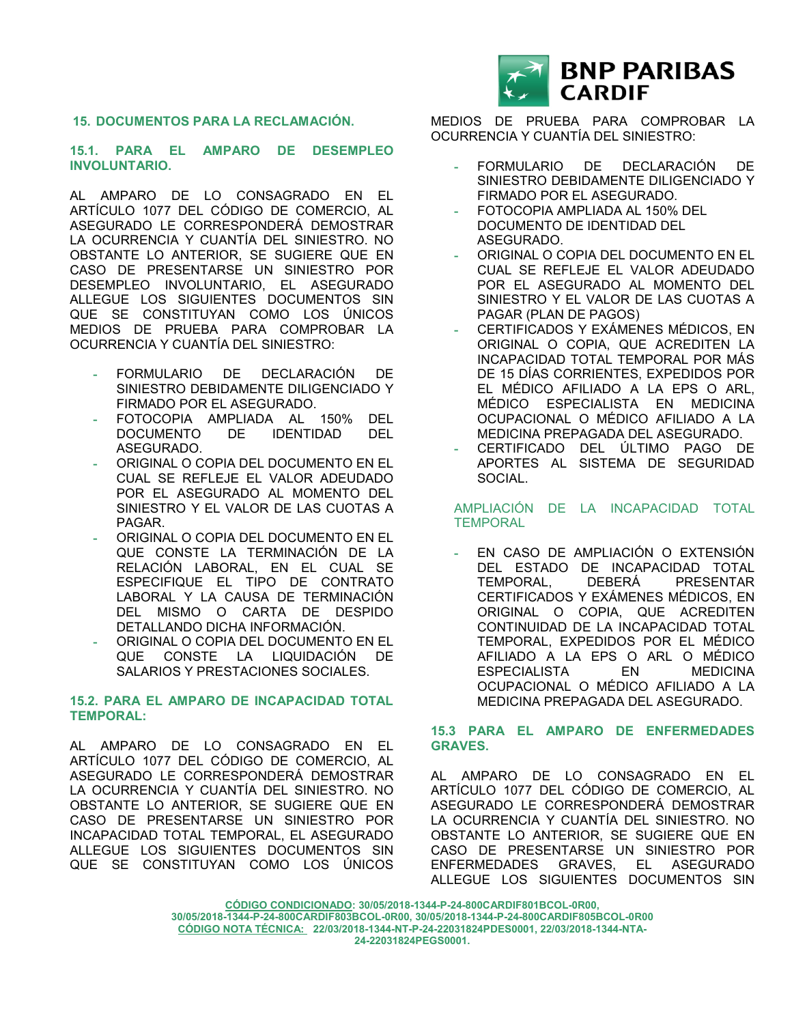#### **15. DOCUMENTOS PARA LA RECLAMACIÓN.**

### **15.1. PARA EL AMPARO DE DESEMPLEO INVOLUNTARIO.**

AL AMPARO DE LO CONSAGRADO EN EL ARTÍCULO 1077 DEL CÓDIGO DE COMERCIO, AL ASEGURADO LE CORRESPONDERÁ DEMOSTRAR LA OCURRENCIA Y CUANTÍA DEL SINIESTRO. NO OBSTANTE LO ANTERIOR, SE SUGIERE QUE EN CASO DE PRESENTARSE UN SINIESTRO POR DESEMPLEO INVOLUNTARIO, EL ASEGURADO ALLEGUE LOS SIGUIENTES DOCUMENTOS SIN QUE SE CONSTITUYAN COMO LOS ÚNICOS MEDIOS DE PRUEBA PARA COMPROBAR LA OCURRENCIA Y CUANTÍA DEL SINIESTRO:

- **-** FORMULARIO DE DECLARACIÓN DE SINIESTRO DEBIDAMENTE DILIGENCIADO Y FIRMADO POR EL ASEGURADO.
- **-** FOTOCOPIA AMPLIADA AL 150% DEL DOCUMENTO DE IDENTIDAD DEL ASEGURADO.
- **-** ORIGINAL O COPIA DEL DOCUMENTO EN EL CUAL SE REFLEJE EL VALOR ADEUDADO POR EL ASEGURADO AL MOMENTO DEL SINIESTRO Y EL VALOR DE LAS CUOTAS A PAGAR.
- **-** ORIGINAL O COPIA DEL DOCUMENTO EN EL QUE CONSTE LA TERMINACIÓN DE LA RELACIÓN LABORAL, EN EL CUAL SE ESPECIFIQUE EL TIPO DE CONTRATO LABORAL Y LA CAUSA DE TERMINACIÓN DEL MISMO O CARTA DE DESPIDO DETALLANDO DICHA INFORMACIÓN.
- **-** ORIGINAL O COPIA DEL DOCUMENTO EN EL QUE CONSTE LA LIQUIDACIÓN DE SALARIOS Y PRESTACIONES SOCIALES.

# **15.2. PARA EL AMPARO DE INCAPACIDAD TOTAL TEMPORAL:**

AL AMPARO DE LO CONSAGRADO EN EL ARTÍCULO 1077 DEL CÓDIGO DE COMERCIO, AL ASEGURADO LE CORRESPONDERÁ DEMOSTRAR LA OCURRENCIA Y CUANTÍA DEL SINIESTRO. NO OBSTANTE LO ANTERIOR, SE SUGIERE QUE EN CASO DE PRESENTARSE UN SINIESTRO POR INCAPACIDAD TOTAL TEMPORAL, EL ASEGURADO ALLEGUE LOS SIGUIENTES DOCUMENTOS SIN QUE SE CONSTITUYAN COMO LOS ÚNICOS



MEDIOS DE PRUEBA PARA COMPROBAR LA OCURRENCIA Y CUANTÍA DEL SINIESTRO:

- **-** FORMULARIO DE DECLARACIÓN DE SINIESTRO DEBIDAMENTE DILIGENCIADO Y FIRMADO POR EL ASEGURADO.
- **-** FOTOCOPIA AMPLIADA AL 150% DEL DOCUMENTO DE IDENTIDAD DEL ASEGURADO.
- **-** ORIGINAL O COPIA DEL DOCUMENTO EN EL CUAL SE REFLEJE EL VALOR ADEUDADO POR EL ASEGURADO AL MOMENTO DEL SINIESTRO Y EL VALOR DE LAS CUOTAS A PAGAR (PLAN DE PAGOS)
- **-** CERTIFICADOS Y EXÁMENES MÉDICOS, EN ORIGINAL O COPIA, QUE ACREDITEN LA INCAPACIDAD TOTAL TEMPORAL POR MÁS DE 15 DÍAS CORRIENTES, EXPEDIDOS POR EL MÉDICO AFILIADO A LA EPS O ARL, MÉDICO ESPECIALISTA EN MEDICINA OCUPACIONAL O MÉDICO AFILIADO A LA MEDICINA PREPAGADA DEL ASEGURADO.
- **-** CERTIFICADO DEL ÚLTIMO PAGO DE APORTES AL SISTEMA DE SEGURIDAD SOCIAL.

# AMPLIACIÓN DE LA INCAPACIDAD TOTAL **TEMPORAL**

**-** EN CASO DE AMPLIACIÓN O EXTENSIÓN DEL ESTADO DE INCAPACIDAD TOTAL TEMPORAL, DEBERÁ PRESENTAR CERTIFICADOS Y EXÁMENES MÉDICOS, EN ORIGINAL O COPIA, QUE ACREDITEN CONTINUIDAD DE LA INCAPACIDAD TOTAL TEMPORAL, EXPEDIDOS POR EL MÉDICO AFILIADO A LA EPS O ARL O MÉDICO ESPECIALISTA EN MEDICINA OCUPACIONAL O MÉDICO AFILIADO A LA MEDICINA PREPAGADA DEL ASEGURADO.

# **15.3 PARA EL AMPARO DE ENFERMEDADES GRAVES.**

AL AMPARO DE LO CONSAGRADO EN EL ARTÍCULO 1077 DEL CÓDIGO DE COMERCIO, AL ASEGURADO LE CORRESPONDERÁ DEMOSTRAR LA OCURRENCIA Y CUANTÍA DEL SINIESTRO. NO OBSTANTE LO ANTERIOR, SE SUGIERE QUE EN CASO DE PRESENTARSE UN SINIESTRO POR ENFERMEDADES GRAVES, EL ASEGURADO ALLEGUE LOS SIGUIENTES DOCUMENTOS SIN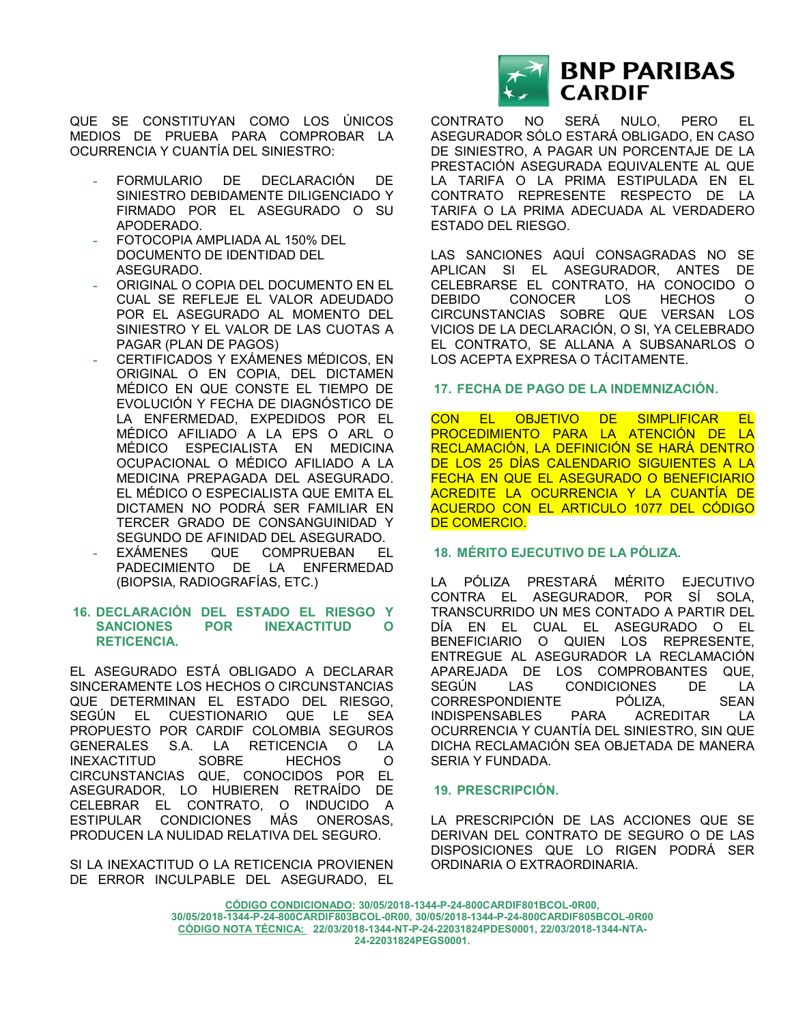QUE SE CONSTITUYAN COMO LOS ÚNICOS MEDIOS DE PRUEBA PARA COMPROBAR LA OCURRENCIA Y CUANTÍA DEL SINIESTRO:

- **-** FORMULARIO DE DECLARACIÓN DE SINIESTRO DEBIDAMENTE DILIGENCIADO Y FIRMADO POR EL ASEGURADO O SU APODERADO.
- **-** FOTOCOPIA AMPLIADA AL 150% DEL DOCUMENTO DE IDENTIDAD DEL ASEGURADO.
- **-** ORIGINAL O COPIA DEL DOCUMENTO EN EL CUAL SE REFLEJE EL VALOR ADEUDADO POR EL ASEGURADO AL MOMENTO DEL SINIESTRO Y EL VALOR DE LAS CUOTAS A PAGAR (PLAN DE PAGOS)
- **-** CERTIFICADOS Y EXÁMENES MÉDICOS, EN ORIGINAL O EN COPIA, DEL DICTAMEN MÉDICO EN QUE CONSTE EL TIEMPO DE EVOLUCIÓN Y FECHA DE DIAGNÓSTICO DE LA ENFERMEDAD, EXPEDIDOS POR EL MÉDICO AFILIADO A LA EPS O ARL O MÉDICO ESPECIALISTA EN MEDICINA OCUPACIONAL O MÉDICO AFILIADO A LA MEDICINA PREPAGADA DEL ASEGURADO. EL MÉDICO O ESPECIALISTA QUE EMITA EL DICTAMEN NO PODRÁ SER FAMILIAR EN TERCER GRADO DE CONSANGUINIDAD Y SEGUNDO DE AFINIDAD DEL ASEGURADO.
- **-** EXÁMENES QUE COMPRUEBAN EL PADECIMIENTO DE LA ENFERMEDAD (BIOPSIA, RADIOGRAFÍAS, ETC.)

#### **16. DECLARACIÓN DEL ESTADO EL RIESGO Y SANCIONES POR INEXACTITUD O RETICENCIA.**

EL ASEGURADO ESTÁ OBLIGADO A DECLARAR SINCERAMENTE LOS HECHOS O CIRCUNSTANCIAS QUE DETERMINAN EL ESTADO DEL RIESGO, SEGÚN EL CUESTIONARIO QUE LE SEA PROPUESTO POR CARDIF COLOMBIA SEGUROS GENERALES S.A. LA RETICENCIA O LA INEXACTITUD SOBRE HECHOS O CIRCUNSTANCIAS QUE, CONOCIDOS POR EL ASEGURADOR, LO HUBIEREN RETRAÍDO DE CELEBRAR EL CONTRATO, O INDUCIDO A ESTIPULAR CONDICIONES MÁS ONEROSAS, PRODUCEN LA NULIDAD RELATIVA DEL SEGURO.

SI LA INEXACTITUD O LA RETICENCIA PROVIENEN DE ERROR INCULPABLE DEL ASEGURADO, EL



CONTRATO NO SERÁ NULO, PERO EL ASEGURADOR SÓLO ESTARÁ OBLIGADO, EN CASO DE SINIESTRO, A PAGAR UN PORCENTAJE DE LA PRESTACIÓN ASEGURADA EQUIVALENTE AL QUE LA TARIFA O LA PRIMA ESTIPULADA EN EL CONTRATO REPRESENTE RESPECTO DE LA TARIFA O LA PRIMA ADECUADA AL VERDADERO ESTADO DEL RIESGO.

LAS SANCIONES AQUÍ CONSAGRADAS NO SE APLICAN SI EL ASEGURADOR, ANTES DE CELEBRARSE EL CONTRATO, HA CONOCIDO O DEBIDO CONOCER LOS HECHOS O CIRCUNSTANCIAS SOBRE QUE VERSAN LOS VICIOS DE LA DECLARACIÓN, O SI, YA CELEBRADO EL CONTRATO, SE ALLANA A SUBSANARLOS O LOS ACEPTA EXPRESA O TÁCITAMENTE.

**17. FECHA DE PAGO DE LA INDEMNIZACIÓN.**

CON EL OBJETIVO DE SIMPLIFICAR EL PROCEDIMIENTO PARA LA ATENCIÓN DE LA RECLAMACIÓN, LA DEFINICIÓN SE HARÁ DENTRO DE LOS 25 DÍAS CALENDARIO SIGUIENTES A LA FECHA EN QUE EL ASEGURADO O BENEFICIARIO ACREDITE LA OCURRENCIA Y LA CUANTÍA DE ACUERDO CON EL ARTICULO 1077 DEL CÓDIGO DE COMERCIO.

# **18. MÉRITO EJECUTIVO DE LA PÓLIZA.**

LA PÓLIZA PRESTARÁ MÉRITO EJECUTIVO CONTRA EL ASEGURADOR, POR SÍ SOLA, TRANSCURRIDO UN MES CONTADO A PARTIR DEL DÍA EN EL CUAL EL ASEGURADO O EL BENEFICIARIO O QUIEN LOS REPRESENTE, ENTREGUE AL ASEGURADOR LA RECLAMACIÓN APAREJADA DE LOS COMPROBANTES QUE, SEGÚN LAS CONDICIONES DE LA CORRESPONDIENTE PÓLIZA, SEAN INDISPENSABLES PARA ACREDITAR LA OCURRENCIA Y CUANTÍA DEL SINIESTRO, SIN QUE DICHA RECLAMACIÓN SEA OBJETADA DE MANERA SERIA Y FUNDADA.

#### **19. PRESCRIPCIÓN.**

LA PRESCRIPCIÓN DE LAS ACCIONES QUE SE DERIVAN DEL CONTRATO DE SEGURO O DE LAS DISPOSICIONES QUE LO RIGEN PODRÁ SER ORDINARIA O EXTRAORDINARIA.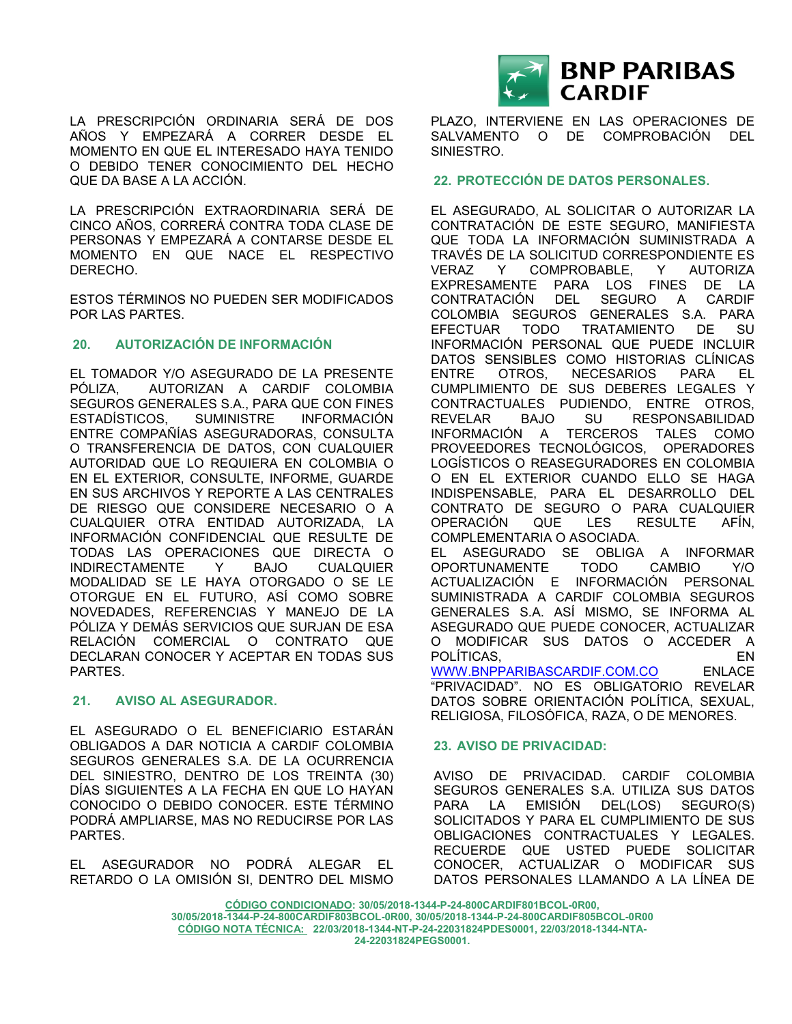LA PRESCRIPCIÓN ORDINARIA SERÁ DE DOS AÑOS Y EMPEZARÁ A CORRER DESDE EL MOMENTO EN QUE EL INTERESADO HAYA TENIDO O DEBIDO TENER CONOCIMIENTO DEL HECHO QUE DA BASE A LA ACCIÓN.

LA PRESCRIPCIÓN EXTRAORDINARIA SERÁ DE CINCO AÑOS, CORRERÁ CONTRA TODA CLASE DE PERSONAS Y EMPEZARÁ A CONTARSE DESDE EL MOMENTO EN QUE NACE EL RESPECTIVO DERECHO.

ESTOS TÉRMINOS NO PUEDEN SER MODIFICADOS POR LAS PARTES.

# **20. AUTORIZACIÓN DE INFORMACIÓN**

EL TOMADOR Y/O ASEGURADO DE LA PRESENTE PÓLIZA, AUTORIZAN A CARDIF COLOMBIA SEGUROS GENERALES S.A., PARA QUE CON FINES ESTADÍSTICOS, SUMINISTRE INFORMACIÓN ENTRE COMPAÑÍAS ASEGURADORAS, CONSULTA O TRANSFERENCIA DE DATOS, CON CUALQUIER AUTORIDAD QUE LO REQUIERA EN COLOMBIA O EN EL EXTERIOR, CONSULTE, INFORME, GUARDE EN SUS ARCHIVOS Y REPORTE A LAS CENTRALES DE RIESGO QUE CONSIDERE NECESARIO O A CUALQUIER OTRA ENTIDAD AUTORIZADA, LA INFORMACIÓN CONFIDENCIAL QUE RESULTE DE TODAS LAS OPERACIONES QUE DIRECTA O INDIRECTAMENTE Y BAJO CUALQUIER MODALIDAD SE LE HAYA OTORGADO O SE LE OTORGUE EN EL FUTURO, ASÍ COMO SOBRE NOVEDADES, REFERENCIAS Y MANEJO DE LA PÓLIZA Y DEMÁS SERVICIOS QUE SURJAN DE ESA RELACIÓN COMERCIAL O CONTRATO QUE DECLARAN CONOCER Y ACEPTAR EN TODAS SUS PARTES.

# **21. AVISO AL ASEGURADOR.**

EL ASEGURADO O EL BENEFICIARIO ESTARÁN OBLIGADOS A DAR NOTICIA A CARDIF COLOMBIA SEGUROS GENERALES S.A. DE LA OCURRENCIA DEL SINIESTRO, DENTRO DE LOS TREINTA (30) DÍAS SIGUIENTES A LA FECHA EN QUE LO HAYAN CONOCIDO O DEBIDO CONOCER. ESTE TÉRMINO PODRÁ AMPLIARSE, MAS NO REDUCIRSE POR LAS PARTES.

EL ASEGURADOR NO PODRÁ ALEGAR EL RETARDO O LA OMISIÓN SI, DENTRO DEL MISMO



PLAZO, INTERVIENE EN LAS OPERACIONES DE SALVAMENTO O DE COMPROBACIÓN DEL SINIESTRO.

# **22. PROTECCIÓN DE DATOS PERSONALES.**

EL ASEGURADO, AL SOLICITAR O AUTORIZAR LA CONTRATACIÓN DE ESTE SEGURO, MANIFIESTA QUE TODA LA INFORMACIÓN SUMINISTRADA A TRAVÉS DE LA SOLICITUD CORRESPONDIENTE ES VERAZ Y COMPROBABLE, Y AUTORIZA EXPRESAMENTE PARA LOS FINES DE LA CONTRATACIÓN DEL SEGURO A CARDIF COLOMBIA SEGUROS GENERALES S.A. PARA EFECTUAR TODO TRATAMIENTO DE SU INFORMACIÓN PERSONAL QUE PUEDE INCLUIR DATOS SENSIBLES COMO HISTORIAS CLÍNICAS ENTRE OTROS, NECESARIOS PARA EL CUMPLIMIENTO DE SUS DEBERES LEGALES Y CONTRACTUALES PUDIENDO, ENTRE OTROS, REVELAR BAJO SU RESPONSABILIDAD INFORMACIÓN A TERCEROS TALES COMO PROVEEDORES TECNOLÓGICOS, OPERADORES LOGÍSTICOS O REASEGURADORES EN COLOMBIA O EN EL EXTERIOR CUANDO ELLO SE HAGA INDISPENSABLE, PARA EL DESARROLLO DEL CONTRATO DE SEGURO O PARA CUALQUIER OPERACIÓN QUE LES RESULTE AFÍN, COMPLEMENTARIA O ASOCIADA. EL ASEGURADO SE OBLIGA A INFORMAR

OPORTUNAMENTE TODO CAMBIO Y/O ACTUALIZACIÓN E INFORMACIÓN PERSONAL SUMINISTRADA A CARDIF COLOMBIA SEGUROS GENERALES S.A. ASÍ MISMO, SE INFORMA AL ASEGURADO QUE PUEDE CONOCER, ACTUALIZAR O MODIFICAR SUS DATOS O ACCEDER A POLÍTICAS. [WWW.BNPPARIBASCARDIF.COM.CO](http://www.bnpparibascardif.com.co/) ENLACE

"PRIVACIDAD". NO ES OBLIGATORIO REVELAR DATOS SOBRE ORIENTACIÓN POLÍTICA, SEXUAL, RELIGIOSA, FILOSÓFICA, RAZA, O DE MENORES.

# **23. AVISO DE PRIVACIDAD:**

AVISO DE PRIVACIDAD. CARDIF COLOMBIA SEGUROS GENERALES S.A. UTILIZA SUS DATOS PARA LA EMISIÓN DEL(LOS) SEGURO(S) SOLICITADOS Y PARA EL CUMPLIMIENTO DE SUS OBLIGACIONES CONTRACTUALES Y LEGALES. RECUERDE QUE USTED PUEDE SOLICITAR CONOCER, ACTUALIZAR O MODIFICAR SUS DATOS PERSONALES LLAMANDO A LA LÍNEA DE